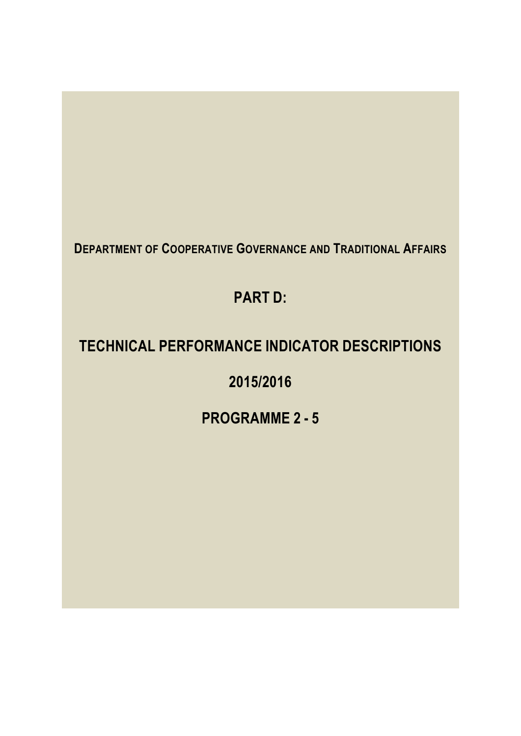**DEPARTMENT OF COOPERATIVE GOVERNANCE AND TRADITIONAL AFFAIRS**

# **PART D:**

# **TECHNICAL PERFORMANCE INDICATOR DESCRIPTIONS**

# **2015/2016**

**PROGRAMME 2 - 5**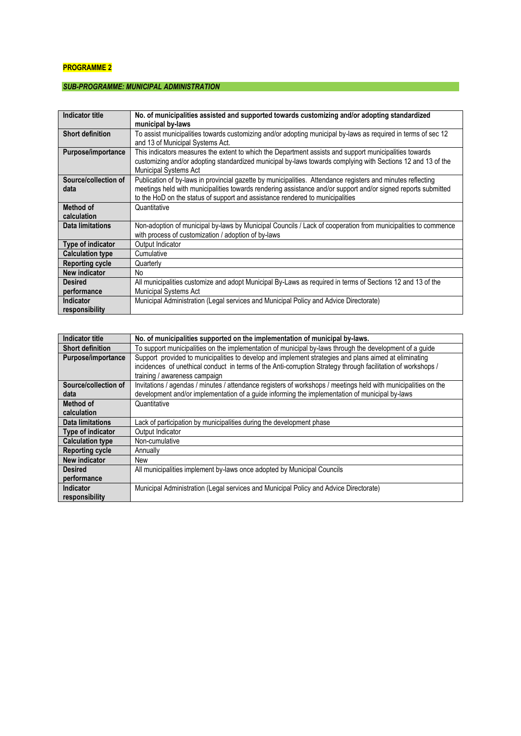# **PROGRAMME 2**

# *SUB-PROGRAMME: MUNICIPAL ADMINISTRATION*

| <b>Indicator title</b>             | No. of municipalities assisted and supported towards customizing and/or adopting standardized<br>municipal by-laws                                                                                                                                                                                            |
|------------------------------------|---------------------------------------------------------------------------------------------------------------------------------------------------------------------------------------------------------------------------------------------------------------------------------------------------------------|
| <b>Short definition</b>            | To assist municipalities towards customizing and/or adopting municipal by-laws as required in terms of sec 12<br>and 13 of Municipal Systems Act.                                                                                                                                                             |
| Purpose/importance                 | This indicators measures the extent to which the Department assists and support municipalities towards<br>customizing and/or adopting standardized municipal by-laws towards complying with Sections 12 and 13 of the<br><b>Municipal Systems Act</b>                                                         |
| Source/collection of<br>data       | Publication of by-laws in provincial gazette by municipalities. Attendance registers and minutes reflecting<br>meetings held with municipalities towards rendering assistance and/or support and/or signed reports submitted<br>to the HoD on the status of support and assistance rendered to municipalities |
| Method of                          | Quantitative                                                                                                                                                                                                                                                                                                  |
| calculation                        |                                                                                                                                                                                                                                                                                                               |
| <b>Data limitations</b>            | Non-adoption of municipal by-laws by Municipal Councils / Lack of cooperation from municipalities to commence<br>with process of customization / adoption of by-laws                                                                                                                                          |
| Type of indicator                  | Output Indicator                                                                                                                                                                                                                                                                                              |
| <b>Calculation type</b>            | Cumulative                                                                                                                                                                                                                                                                                                    |
| <b>Reporting cycle</b>             | Quarterly                                                                                                                                                                                                                                                                                                     |
| New indicator                      | No.                                                                                                                                                                                                                                                                                                           |
| <b>Desired</b><br>performance      | All municipalities customize and adopt Municipal By-Laws as required in terms of Sections 12 and 13 of the<br><b>Municipal Systems Act</b>                                                                                                                                                                    |
| <b>Indicator</b><br>responsibility | Municipal Administration (Legal services and Municipal Policy and Advice Directorate)                                                                                                                                                                                                                         |

| Indicator title         | No. of municipalities supported on the implementation of municipal by-laws.                                    |
|-------------------------|----------------------------------------------------------------------------------------------------------------|
| <b>Short definition</b> | To support municipalities on the implementation of municipal by-laws through the development of a guide        |
| Purpose/importance      | Support provided to municipalities to develop and implement strategies and plans aimed at eliminating          |
|                         | incidences of unethical conduct in terms of the Anti-corruption Strategy through facilitation of workshops /   |
|                         | training / awareness campaign                                                                                  |
| Source/collection of    | Invitations / agendas / minutes / attendance registers of workshops / meetings held with municipalities on the |
| data                    | development and/or implementation of a guide informing the implementation of municipal by-laws                 |
| Method of               | Quantitative                                                                                                   |
| calculation             |                                                                                                                |
| <b>Data limitations</b> | Lack of participation by municipalities during the development phase                                           |
| Type of indicator       | Output Indicator                                                                                               |
| <b>Calculation type</b> | Non-cumulative                                                                                                 |
| <b>Reporting cycle</b>  | Annually                                                                                                       |
| <b>New indicator</b>    | New                                                                                                            |
| <b>Desired</b>          | All municipalities implement by-laws once adopted by Municipal Councils                                        |
| performance             |                                                                                                                |
| Indicator               | Municipal Administration (Legal services and Municipal Policy and Advice Directorate)                          |
| responsibility          |                                                                                                                |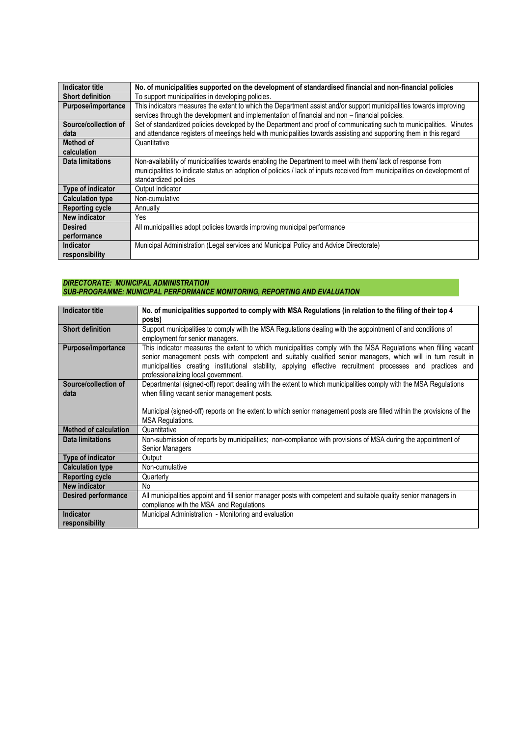| <b>Indicator title</b>  | No. of municipalities supported on the development of standardised financial and non-financial policies                                                                                                                                                          |
|-------------------------|------------------------------------------------------------------------------------------------------------------------------------------------------------------------------------------------------------------------------------------------------------------|
| <b>Short definition</b> | To support municipalities in developing policies.                                                                                                                                                                                                                |
| Purpose/importance      | This indicators measures the extent to which the Department assist and/or support municipalities towards improving<br>services through the development and implementation of financial and non - financial policies.                                             |
| Source/collection of    | Set of standardized policies developed by the Department and proof of communicating such to municipalities. Minutes                                                                                                                                              |
| data                    | and attendance registers of meetings held with municipalities towards assisting and supporting them in this regard                                                                                                                                               |
| Method of               | Quantitative                                                                                                                                                                                                                                                     |
| calculation             |                                                                                                                                                                                                                                                                  |
| Data limitations        | Non-availability of municipalities towards enabling the Department to meet with them/lack of response from<br>municipalities to indicate status on adoption of policies / lack of inputs received from municipalities on development of<br>standardized policies |
| Type of indicator       | Output Indicator                                                                                                                                                                                                                                                 |
| <b>Calculation type</b> | Non-cumulative                                                                                                                                                                                                                                                   |
| <b>Reporting cycle</b>  | Annually                                                                                                                                                                                                                                                         |
| New indicator           | Yes                                                                                                                                                                                                                                                              |
| <b>Desired</b>          | All municipalities adopt policies towards improving municipal performance                                                                                                                                                                                        |
| performance             |                                                                                                                                                                                                                                                                  |
| <b>Indicator</b>        | Municipal Administration (Legal services and Municipal Policy and Advice Directorate)                                                                                                                                                                            |
| responsibility          |                                                                                                                                                                                                                                                                  |

#### *DIRECTORATE: MUNICIPAL ADMINISTRATION SUB-PROGRAMME: MUNICIPAL PERFORMANCE MONITORING, REPORTING AND EVALUATION*

| <b>Indicator title</b>       | No. of municipalities supported to comply with MSA Regulations (in relation to the filing of their top 4              |
|------------------------------|-----------------------------------------------------------------------------------------------------------------------|
|                              | posts)                                                                                                                |
| <b>Short definition</b>      | Support municipalities to comply with the MSA Regulations dealing with the appointment of and conditions of           |
|                              | employment for senior managers.                                                                                       |
| Purpose/importance           | This indicator measures the extent to which municipalities comply with the MSA Regulations when filling vacant        |
|                              | senior management posts with competent and suitably qualified senior managers, which will in turn result in           |
|                              | municipalities creating institutional stability, applying effective recruitment processes and practices and           |
|                              | professionalizing local government.                                                                                   |
| Source/collection of         | Departmental (signed-off) report dealing with the extent to which municipalities comply with the MSA Regulations      |
| data                         | when filling vacant senior management posts.                                                                          |
|                              |                                                                                                                       |
|                              | Municipal (signed-off) reports on the extent to which senior management posts are filled within the provisions of the |
|                              | <b>MSA Requlations.</b>                                                                                               |
| <b>Method of calculation</b> | Quantitative                                                                                                          |
| <b>Data limitations</b>      | Non-submission of reports by municipalities; non-compliance with provisions of MSA during the appointment of          |
|                              | Senior Managers                                                                                                       |
| Type of indicator            | Output                                                                                                                |
| <b>Calculation type</b>      | Non-cumulative                                                                                                        |
| <b>Reporting cycle</b>       | Quarterly                                                                                                             |
| <b>New indicator</b>         | No                                                                                                                    |
| <b>Desired performance</b>   | All municipalities appoint and fill senior manager posts with competent and suitable quality senior managers in       |
|                              | compliance with the MSA and Regulations                                                                               |
| Indicator                    | Municipal Administration - Monitoring and evaluation                                                                  |
| responsibility               |                                                                                                                       |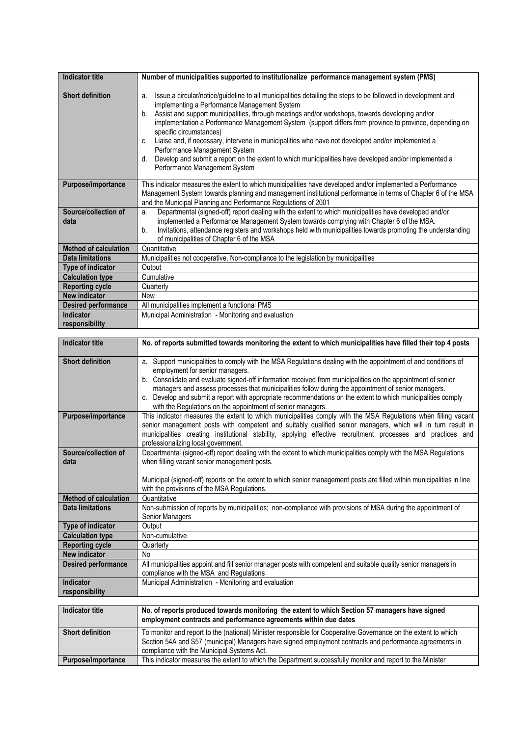| <b>Indicator title</b>       | Number of municipalities supported to institutionalize performance management system (PMS)                                                                                                                                                                                                                                                                                                                                                                                                                                                                                                                                                                                                                     |
|------------------------------|----------------------------------------------------------------------------------------------------------------------------------------------------------------------------------------------------------------------------------------------------------------------------------------------------------------------------------------------------------------------------------------------------------------------------------------------------------------------------------------------------------------------------------------------------------------------------------------------------------------------------------------------------------------------------------------------------------------|
| <b>Short definition</b>      | Issue a circular/notice/guideline to all municipalities detailing the steps to be followed in development and<br>a.<br>implementing a Performance Management System<br>Assist and support municipalities, through meetings and/or workshops, towards developing and/or<br>b.<br>implementation a Performance Management System (support differs from province to province, depending on<br>specific circumstances)<br>Liaise and, if necessary, intervene in municipalities who have not developed and/or implemented a<br>C.<br>Performance Management System<br>Develop and submit a report on the extent to which municipalities have developed and/or implemented a<br>d.<br>Performance Management System |
| Purpose/importance           | This indicator measures the extent to which municipalities have developed and/or implemented a Performance<br>Management System towards planning and management institutional performance in terms of Chapter 6 of the MSA<br>and the Municipal Planning and Performance Regulations of 2001                                                                                                                                                                                                                                                                                                                                                                                                                   |
| Source/collection of<br>data | Departmental (signed-off) report dealing with the extent to which municipalities have developed and/or<br>a.<br>implemented a Performance Management System towards complying with Chapter 6 of the MSA.<br>Invitations, attendance registers and workshops held with municipalities towards promoting the understanding<br>b.<br>of municipalities of Chapter 6 of the MSA                                                                                                                                                                                                                                                                                                                                    |
| <b>Method of calculation</b> | Quantitative                                                                                                                                                                                                                                                                                                                                                                                                                                                                                                                                                                                                                                                                                                   |
| <b>Data limitations</b>      | Municipalities not cooperative, Non-compliance to the legislation by municipalities                                                                                                                                                                                                                                                                                                                                                                                                                                                                                                                                                                                                                            |
| <b>Type of indicator</b>     | Output                                                                                                                                                                                                                                                                                                                                                                                                                                                                                                                                                                                                                                                                                                         |
| <b>Calculation type</b>      | Cumulative                                                                                                                                                                                                                                                                                                                                                                                                                                                                                                                                                                                                                                                                                                     |
| <b>Reporting cycle</b>       | Quarterly                                                                                                                                                                                                                                                                                                                                                                                                                                                                                                                                                                                                                                                                                                      |
| <b>New indicator</b>         | New                                                                                                                                                                                                                                                                                                                                                                                                                                                                                                                                                                                                                                                                                                            |
| <b>Desired performance</b>   | All municipalities implement a functional PMS                                                                                                                                                                                                                                                                                                                                                                                                                                                                                                                                                                                                                                                                  |
| Indicator<br>responsibility  | Municipal Administration - Monitoring and evaluation                                                                                                                                                                                                                                                                                                                                                                                                                                                                                                                                                                                                                                                           |

| <b>Indicator title</b>       | No. of reports submitted towards monitoring the extent to which municipalities have filled their top 4 posts                                                                                                                                                                                                                                                                                                                                                                                                                                            |
|------------------------------|---------------------------------------------------------------------------------------------------------------------------------------------------------------------------------------------------------------------------------------------------------------------------------------------------------------------------------------------------------------------------------------------------------------------------------------------------------------------------------------------------------------------------------------------------------|
| <b>Short definition</b>      | a. Support municipalities to comply with the MSA Regulations dealing with the appointment of and conditions of<br>employment for senior managers.<br>b. Consolidate and evaluate signed-off information received from municipalities on the appointment of senior<br>managers and assess processes that municipalities follow during the appointment of senior managers.<br>c. Develop and submit a report with appropriate recommendations on the extent to which municipalities comply<br>with the Regulations on the appointment of senior managers. |
| Purpose/importance           | This indicator measures the extent to which municipalities comply with the MSA Regulations when filling vacant<br>senior management posts with competent and suitably qualified senior managers, which will in turn result in<br>municipalities creating institutional stability, applying effective recruitment processes and practices and<br>professionalizing local government.                                                                                                                                                                     |
| Source/collection of<br>data | Departmental (signed-off) report dealing with the extent to which municipalities comply with the MSA Regulations<br>when filling vacant senior management posts.<br>Municipal (signed-off) reports on the extent to which senior management posts are filled within municipalities in line<br>with the provisions of the MSA Regulations.                                                                                                                                                                                                               |
| <b>Method of calculation</b> | Quantitative                                                                                                                                                                                                                                                                                                                                                                                                                                                                                                                                            |
| <b>Data limitations</b>      | Non-submission of reports by municipalities; non-compliance with provisions of MSA during the appointment of<br>Senior Managers                                                                                                                                                                                                                                                                                                                                                                                                                         |
| Type of indicator            | Output                                                                                                                                                                                                                                                                                                                                                                                                                                                                                                                                                  |
| <b>Calculation type</b>      | Non-cumulative                                                                                                                                                                                                                                                                                                                                                                                                                                                                                                                                          |
| <b>Reporting cycle</b>       | Quarterly                                                                                                                                                                                                                                                                                                                                                                                                                                                                                                                                               |
| New indicator                | No                                                                                                                                                                                                                                                                                                                                                                                                                                                                                                                                                      |
| <b>Desired performance</b>   | All municipalities appoint and fill senior manager posts with competent and suitable quality senior managers in<br>compliance with the MSA and Regulations                                                                                                                                                                                                                                                                                                                                                                                              |
| <b>Indicator</b>             | Municipal Administration - Monitoring and evaluation                                                                                                                                                                                                                                                                                                                                                                                                                                                                                                    |
| responsibility               |                                                                                                                                                                                                                                                                                                                                                                                                                                                                                                                                                         |
|                              |                                                                                                                                                                                                                                                                                                                                                                                                                                                                                                                                                         |

| Indicator title         | No. of reports produced towards monitoring the extent to which Section 57 managers have signed<br>employment contracts and performance agreements within due dates                                                                                                      |
|-------------------------|-------------------------------------------------------------------------------------------------------------------------------------------------------------------------------------------------------------------------------------------------------------------------|
| <b>Short definition</b> | To monitor and report to the (national) Minister responsible for Cooperative Governance on the extent to which<br>Section 54A and S57 (municipal) Managers have signed employment contracts and performance agreements in<br>compliance with the Municipal Systems Act. |
| Purpose/importance      | This indicator measures the extent to which the Department successfully monitor and report to the Minister                                                                                                                                                              |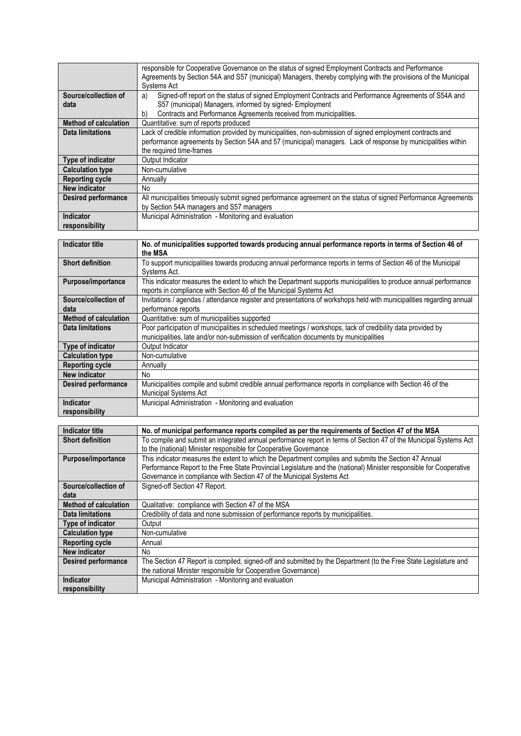|                              | responsible for Cooperative Governance on the status of signed Employment Contracts and Performance<br>Agreements by Section 54A and S57 (municipal) Managers, thereby complying with the provisions of the Municipal<br><b>Systems Act</b> |
|------------------------------|---------------------------------------------------------------------------------------------------------------------------------------------------------------------------------------------------------------------------------------------|
| Source/collection of         | Signed-off report on the status of signed Employment Contracts and Performance Agreements of S54A and<br>a)                                                                                                                                 |
| data                         | S57 (municipal) Managers, informed by signed-Employment                                                                                                                                                                                     |
|                              | Contracts and Performance Agreements received from municipalities.<br>b)                                                                                                                                                                    |
| <b>Method of calculation</b> | Quantitative: sum of reports produced                                                                                                                                                                                                       |
| Data limitations             | Lack of credible information provided by municipalities, non-submission of signed employment contracts and                                                                                                                                  |
|                              | performance agreements by Section 54A and 57 (municipal) managers. Lack of response by municipalities within                                                                                                                                |
|                              | the required time-frames                                                                                                                                                                                                                    |
| Type of indicator            | Output Indicator                                                                                                                                                                                                                            |
| <b>Calculation type</b>      | Non-cumulative                                                                                                                                                                                                                              |
| <b>Reporting cycle</b>       | Annually                                                                                                                                                                                                                                    |
| <b>New indicator</b>         | No.                                                                                                                                                                                                                                         |
| <b>Desired performance</b>   | All municipalities timeously submit signed performance agreement on the status of signed Performance Agreements                                                                                                                             |
|                              | by Section 54A managers and S57 managers                                                                                                                                                                                                    |
| <b>Indicator</b>             | Municipal Administration - Monitoring and evaluation                                                                                                                                                                                        |
| responsibility               |                                                                                                                                                                                                                                             |

| <b>Indicator title</b>       | No. of municipalities supported towards producing annual performance reports in terms of Section 46 of<br>the MSA                                                                                      |
|------------------------------|--------------------------------------------------------------------------------------------------------------------------------------------------------------------------------------------------------|
| <b>Short definition</b>      | To support municipalities towards producing annual performance reports in terms of Section 46 of the Municipal<br>Systems Act.                                                                         |
| Purpose/importance           | This indicator measures the extent to which the Department supports municipalities to produce annual performance<br>reports in compliance with Section 46 of the Municipal Systems Act                 |
| Source/collection of<br>data | Invitations / agendas / attendance register and presentations of workshops held with municipalities regarding annual<br>performance reports                                                            |
| <b>Method of calculation</b> | Quantitative: sum of municipalities supported                                                                                                                                                          |
| Data limitations             | Poor participation of municipalities in scheduled meetings / workshops, lack of credibility data provided by<br>municipalities, late and/or non-submission of verification documents by municipalities |
| Type of indicator            | Output Indicator                                                                                                                                                                                       |
| <b>Calculation type</b>      | Non-cumulative                                                                                                                                                                                         |
| <b>Reporting cycle</b>       | Annually                                                                                                                                                                                               |
| New indicator                | No.                                                                                                                                                                                                    |
| <b>Desired performance</b>   | Municipalities compile and submit credible annual performance reports in compliance with Section 46 of the<br>Municipal Systems Act                                                                    |
| Indicator<br>responsibility  | Municipal Administration - Monitoring and evaluation                                                                                                                                                   |

| <b>Indicator title</b>       | No. of municipal performance reports compiled as per the requirements of Section 47 of the MSA                      |
|------------------------------|---------------------------------------------------------------------------------------------------------------------|
| <b>Short definition</b>      | To compile and submit an integrated annual performance report in terms of Section 47 of the Municipal Systems Act   |
|                              | to the (national) Minister responsible for Cooperative Governance                                                   |
| Purpose/importance           | This indicator measures the extent to which the Department compiles and submits the Section 47 Annual               |
|                              | Performance Report to the Free State Provincial Legislature and the (national) Minister responsible for Cooperative |
|                              | Governance in compliance with Section 47 of the Municipal Systems Act                                               |
| Source/collection of         | Signed-off Section 47 Report.                                                                                       |
| data                         |                                                                                                                     |
| <b>Method of calculation</b> | Qualitative: compliance with Section 47 of the MSA                                                                  |
| Data limitations             | Credibility of data and none submission of performance reports by municipalities.                                   |
| Type of indicator            | Output                                                                                                              |
| <b>Calculation type</b>      | Non-cumulative                                                                                                      |
| <b>Reporting cycle</b>       | Annual                                                                                                              |
| New indicator                | No.                                                                                                                 |
| <b>Desired performance</b>   | The Section 47 Report is compiled, signed-off and submitted by the Department (to the Free State Legislature and    |
|                              | the national Minister responsible for Cooperative Governance)                                                       |
| <b>Indicator</b>             | Municipal Administration - Monitoring and evaluation                                                                |
| responsibility               |                                                                                                                     |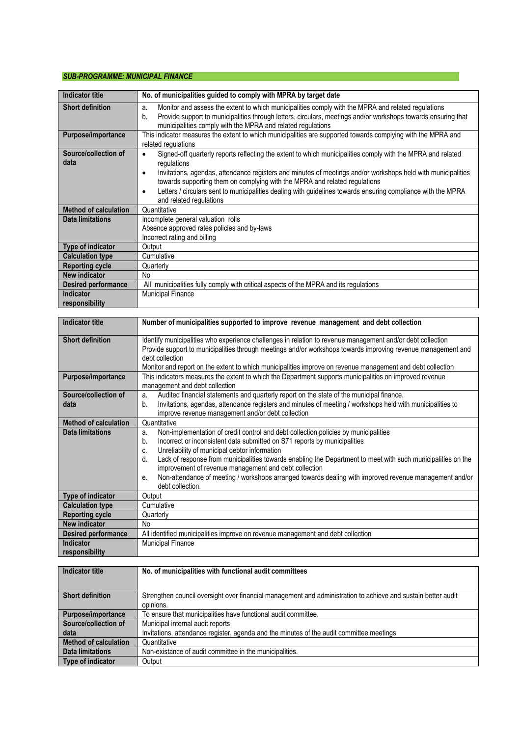# *SUB-PROGRAMME: MUNICIPAL FINANCE*

| <b>Indicator title</b>             | No. of municipalities guided to comply with MPRA by target date                                                                                                                                                                                                                                                                                                                                                                                                                                            |
|------------------------------------|------------------------------------------------------------------------------------------------------------------------------------------------------------------------------------------------------------------------------------------------------------------------------------------------------------------------------------------------------------------------------------------------------------------------------------------------------------------------------------------------------------|
| <b>Short definition</b>            | Monitor and assess the extent to which municipalities comply with the MPRA and related regulations<br>a.<br>Provide support to municipalities through letters, circulars, meetings and/or workshops towards ensuring that<br>$b$ .<br>municipalities comply with the MPRA and related regulations                                                                                                                                                                                                          |
| Purpose/importance                 | This indicator measures the extent to which municipalities are supported towards complying with the MPRA and<br>related regulations                                                                                                                                                                                                                                                                                                                                                                        |
| Source/collection of<br>data       | Signed-off quarterly reports reflecting the extent to which municipalities comply with the MPRA and related<br>$\bullet$<br>regulations<br>Invitations, agendas, attendance registers and minutes of meetings and/or workshops held with municipalities<br>$\bullet$<br>towards supporting them on complying with the MPRA and related regulations<br>Letters / circulars sent to municipalities dealing with guidelines towards ensuring compliance with the MPRA<br>$\bullet$<br>and related regulations |
| <b>Method of calculation</b>       | Quantitative                                                                                                                                                                                                                                                                                                                                                                                                                                                                                               |
| Data limitations                   | Incomplete general valuation rolls<br>Absence approved rates policies and by-laws<br>Incorrect rating and billing                                                                                                                                                                                                                                                                                                                                                                                          |
| Type of indicator                  | Output                                                                                                                                                                                                                                                                                                                                                                                                                                                                                                     |
| <b>Calculation type</b>            | Cumulative                                                                                                                                                                                                                                                                                                                                                                                                                                                                                                 |
| <b>Reporting cycle</b>             | Quarterly                                                                                                                                                                                                                                                                                                                                                                                                                                                                                                  |
| <b>New indicator</b>               | No                                                                                                                                                                                                                                                                                                                                                                                                                                                                                                         |
| <b>Desired performance</b>         | All municipalities fully comply with critical aspects of the MPRA and its regulations                                                                                                                                                                                                                                                                                                                                                                                                                      |
| <b>Indicator</b><br>responsibility | <b>Municipal Finance</b>                                                                                                                                                                                                                                                                                                                                                                                                                                                                                   |

| <b>Indicator title</b>       | Number of municipalities supported to improve revenue management and debt collection                                                                                                                                                                                                                                                                                                                                                                                                                                                                   |
|------------------------------|--------------------------------------------------------------------------------------------------------------------------------------------------------------------------------------------------------------------------------------------------------------------------------------------------------------------------------------------------------------------------------------------------------------------------------------------------------------------------------------------------------------------------------------------------------|
| <b>Short definition</b>      | Identify municipalities who experience challenges in relation to revenue management and/or debt collection<br>Provide support to municipalities through meetings and/or workshops towards improving revenue management and<br>debt collection<br>Monitor and report on the extent to which municipalities improve on revenue management and debt collection                                                                                                                                                                                            |
| Purpose/importance           | This indicators measures the extent to which the Department supports municipalities on improved revenue<br>management and debt collection                                                                                                                                                                                                                                                                                                                                                                                                              |
| Source/collection of<br>data | Audited financial statements and quarterly report on the state of the municipal finance.<br>a.<br>Invitations, agendas, attendance registers and minutes of meeting / workshops held with municipalities to<br>b.<br>improve revenue management and/or debt collection                                                                                                                                                                                                                                                                                 |
| <b>Method of calculation</b> | Quantitative                                                                                                                                                                                                                                                                                                                                                                                                                                                                                                                                           |
| <b>Data limitations</b>      | Non-implementation of credit control and debt collection policies by municipalities<br>a.<br>Incorrect or inconsistent data submitted on S71 reports by municipalities<br>b.<br>Unreliability of municipal debtor information<br>C.<br>Lack of response from municipalities towards enabling the Department to meet with such municipalities on the<br>d.<br>improvement of revenue management and debt collection<br>Non-attendance of meeting / workshops arranged towards dealing with improved revenue management and/or<br>е.<br>debt collection. |
| Type of indicator            | Output                                                                                                                                                                                                                                                                                                                                                                                                                                                                                                                                                 |
| <b>Calculation type</b>      | Cumulative                                                                                                                                                                                                                                                                                                                                                                                                                                                                                                                                             |
| <b>Reporting cycle</b>       | Quarterly                                                                                                                                                                                                                                                                                                                                                                                                                                                                                                                                              |
| <b>New indicator</b>         | <b>No</b>                                                                                                                                                                                                                                                                                                                                                                                                                                                                                                                                              |
| <b>Desired performance</b>   | All identified municipalities improve on revenue management and debt collection                                                                                                                                                                                                                                                                                                                                                                                                                                                                        |
| Indicator                    | <b>Municipal Finance</b>                                                                                                                                                                                                                                                                                                                                                                                                                                                                                                                               |
| responsibility               |                                                                                                                                                                                                                                                                                                                                                                                                                                                                                                                                                        |

| <b>Indicator title</b>  | No. of municipalities with functional audit committees                                                        |
|-------------------------|---------------------------------------------------------------------------------------------------------------|
|                         |                                                                                                               |
| <b>Short definition</b> | Strengthen council oversight over financial management and administration to achieve and sustain better audit |
|                         | opinions.                                                                                                     |
| Purpose/importance      | To ensure that municipalities have functional audit committee.                                                |
| Source/collection of    | Municipal internal audit reports                                                                              |
| data                    | Invitations, attendance register, agenda and the minutes of the audit committee meetings                      |
| Method of calculation   | Quantitative                                                                                                  |
| Data limitations        | Non-existance of audit committee in the municipalities.                                                       |
| Type of indicator       | Output                                                                                                        |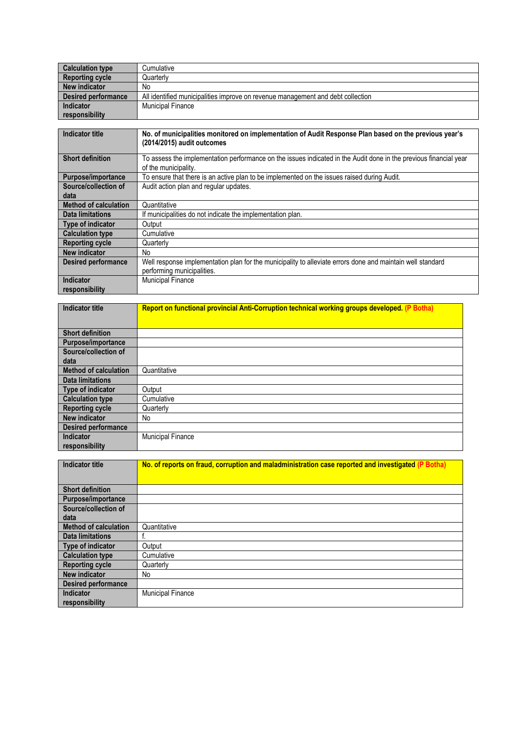| <b>Calculation type</b> | Cumulative                                                                      |
|-------------------------|---------------------------------------------------------------------------------|
| Reporting cycle         | Quarterly                                                                       |
| New indicator           | No                                                                              |
| Desired performance     | All identified municipalities improve on revenue management and debt collection |
| Indicator               | <b>Municipal Finance</b>                                                        |
| responsibility          |                                                                                 |

| <b>Indicator title</b>       | No. of municipalities monitored on implementation of Audit Response Plan based on the previous year's<br>(2014/2015) audit outcomes       |
|------------------------------|-------------------------------------------------------------------------------------------------------------------------------------------|
| <b>Short definition</b>      | To assess the implementation performance on the issues indicated in the Audit done in the previous financial year<br>of the municipality. |
| Purpose/importance           | To ensure that there is an active plan to be implemented on the issues raised during Audit.                                               |
| Source/collection of         | Audit action plan and regular updates.                                                                                                    |
| data                         |                                                                                                                                           |
| <b>Method of calculation</b> | Quantitative                                                                                                                              |
| Data limitations             | If municipalities do not indicate the implementation plan.                                                                                |
| Type of indicator            | Output                                                                                                                                    |
| <b>Calculation type</b>      | Cumulative                                                                                                                                |
| <b>Reporting cycle</b>       | Quarterly                                                                                                                                 |
| <b>New indicator</b>         | No.                                                                                                                                       |
| <b>Desired performance</b>   | Well response implementation plan for the municipality to alleviate errors done and maintain well standard                                |
|                              | performing municipalities.                                                                                                                |
| Indicator                    | <b>Municipal Finance</b>                                                                                                                  |
| responsibility               |                                                                                                                                           |

| <b>Indicator title</b>       | Report on functional provincial Anti-Corruption technical working groups developed. (P Botha) |
|------------------------------|-----------------------------------------------------------------------------------------------|
|                              |                                                                                               |
|                              |                                                                                               |
| <b>Short definition</b>      |                                                                                               |
| Purpose/importance           |                                                                                               |
| Source/collection of         |                                                                                               |
| data                         |                                                                                               |
| <b>Method of calculation</b> | Quantitative                                                                                  |
| <b>Data limitations</b>      |                                                                                               |
| Type of indicator            | Output                                                                                        |
| <b>Calculation type</b>      | Cumulative                                                                                    |
| <b>Reporting cycle</b>       | Quarterly                                                                                     |
| <b>New indicator</b>         | No                                                                                            |
| <b>Desired performance</b>   |                                                                                               |
| <b>Indicator</b>             | <b>Municipal Finance</b>                                                                      |
| responsibility               |                                                                                               |

| <b>Indicator title</b>       | No. of reports on fraud, corruption and maladministration case reported and investigated (P Botha) |
|------------------------------|----------------------------------------------------------------------------------------------------|
|                              |                                                                                                    |
|                              |                                                                                                    |
| <b>Short definition</b>      |                                                                                                    |
| Purpose/importance           |                                                                                                    |
| Source/collection of         |                                                                                                    |
| data                         |                                                                                                    |
| <b>Method of calculation</b> | Quantitative                                                                                       |
| Data limitations             |                                                                                                    |
| Type of indicator            | Output                                                                                             |
| <b>Calculation type</b>      | Cumulative                                                                                         |
| <b>Reporting cycle</b>       | Quarterly                                                                                          |
| New indicator                | No.                                                                                                |
| <b>Desired performance</b>   |                                                                                                    |
| Indicator                    | <b>Municipal Finance</b>                                                                           |
| responsibility               |                                                                                                    |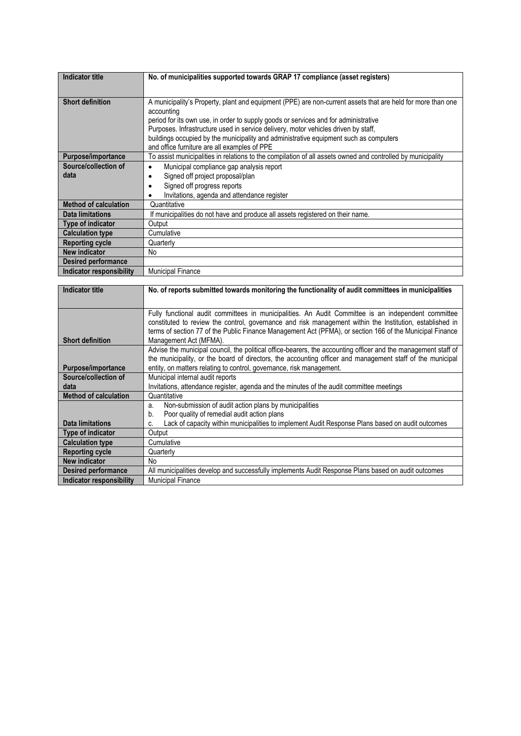| <b>Indicator title</b>          | No. of municipalities supported towards GRAP 17 compliance (asset registers)                                |
|---------------------------------|-------------------------------------------------------------------------------------------------------------|
|                                 |                                                                                                             |
| <b>Short definition</b>         | A municipality's Property, plant and equipment (PPE) are non-current assets that are held for more than one |
|                                 | accounting                                                                                                  |
|                                 | period for its own use, in order to supply goods or services and for administrative                         |
|                                 | Purposes. Infrastructure used in service delivery, motor vehicles driven by staff,                          |
|                                 | buildings occupied by the municipality and administrative equipment such as computers                       |
|                                 | and office furniture are all examples of PPE                                                                |
| Purpose/importance              | To assist municipalities in relations to the compilation of all assets owned and controlled by municipality |
| Source/collection of            | Municipal compliance gap analysis report                                                                    |
| data                            | Signed off project proposal/plan                                                                            |
|                                 | Signed off progress reports                                                                                 |
|                                 | Invitations, agenda and attendance register                                                                 |
| <b>Method of calculation</b>    | Quantitative                                                                                                |
| <b>Data limitations</b>         | If municipalities do not have and produce all assets registered on their name.                              |
| Type of indicator               | Output                                                                                                      |
| <b>Calculation type</b>         | Cumulative                                                                                                  |
| <b>Reporting cycle</b>          | Quarterly                                                                                                   |
| <b>New indicator</b>            | No                                                                                                          |
| <b>Desired performance</b>      |                                                                                                             |
| <b>Indicator responsibility</b> | <b>Municipal Finance</b>                                                                                    |

| Indicator title              | No. of reports submitted towards monitoring the functionality of audit committees in municipalities                                                                                                                         |
|------------------------------|-----------------------------------------------------------------------------------------------------------------------------------------------------------------------------------------------------------------------------|
|                              |                                                                                                                                                                                                                             |
|                              | Fully functional audit committees in municipalities. An Audit Committee is an independent committee                                                                                                                         |
|                              | constituted to review the control, governance and risk management within the Institution, established in                                                                                                                    |
| <b>Short definition</b>      | terms of section 77 of the Public Finance Management Act (PFMA), or section 166 of the Municipal Finance<br>Management Act (MFMA).                                                                                          |
|                              |                                                                                                                                                                                                                             |
|                              | Advise the municipal council, the political office-bearers, the accounting officer and the management staff of<br>the municipality, or the board of directors, the accounting officer and management staff of the municipal |
| Purpose/importance           | entity, on matters relating to control, governance, risk management.                                                                                                                                                        |
| Source/collection of         | Municipal internal audit reports                                                                                                                                                                                            |
| data                         | Invitations, attendance register, agenda and the minutes of the audit committee meetings                                                                                                                                    |
| <b>Method of calculation</b> | Quantitative                                                                                                                                                                                                                |
|                              | Non-submission of audit action plans by municipalities<br>a.                                                                                                                                                                |
|                              | Poor quality of remedial audit action plans<br>b.                                                                                                                                                                           |
| Data limitations             | Lack of capacity within municipalities to implement Audit Response Plans based on audit outcomes<br>C.                                                                                                                      |
| <b>Type of indicator</b>     | Output                                                                                                                                                                                                                      |
| <b>Calculation type</b>      | Cumulative                                                                                                                                                                                                                  |
| <b>Reporting cycle</b>       | Quarterly                                                                                                                                                                                                                   |
| <b>New indicator</b>         | No.                                                                                                                                                                                                                         |
| <b>Desired performance</b>   | All municipalities develop and successfully implements Audit Response Plans based on audit outcomes                                                                                                                         |
| Indicator responsibility     | <b>Municipal Finance</b>                                                                                                                                                                                                    |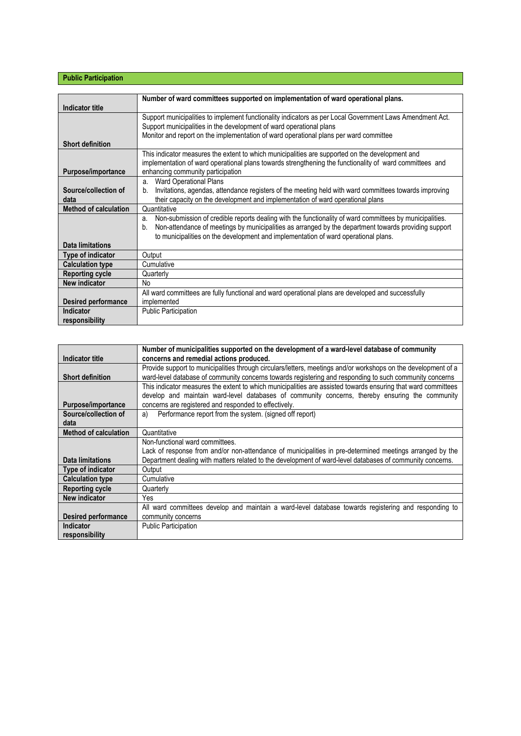# **Public Participation**

|                              | Number of ward committees supported on implementation of ward operational plans.                                                                                                                           |
|------------------------------|------------------------------------------------------------------------------------------------------------------------------------------------------------------------------------------------------------|
| <b>Indicator title</b>       |                                                                                                                                                                                                            |
|                              | Support municipalities to implement functionality indicators as per Local Government Laws Amendment Act.                                                                                                   |
|                              | Support municipalities in the development of ward operational plans                                                                                                                                        |
|                              | Monitor and report on the implementation of ward operational plans per ward committee                                                                                                                      |
| <b>Short definition</b>      |                                                                                                                                                                                                            |
|                              | This indicator measures the extent to which municipalities are supported on the development and<br>implementation of ward operational plans towards strengthening the functionality of ward committees and |
| Purpose/importance           | enhancing community participation                                                                                                                                                                          |
|                              | <b>Ward Operational Plans</b><br>a.                                                                                                                                                                        |
| Source/collection of         | Invitations, agendas, attendance registers of the meeting held with ward committees towards improving<br>b.                                                                                                |
| data                         | their capacity on the development and implementation of ward operational plans                                                                                                                             |
| <b>Method of calculation</b> | Quantitative                                                                                                                                                                                               |
|                              | Non-submission of credible reports dealing with the functionality of ward committees by municipalities.<br>a.                                                                                              |
|                              | Non-attendance of meetings by municipalities as arranged by the department towards providing support<br>b.<br>to municipalities on the development and implementation of ward operational plans.           |
| Data limitations             |                                                                                                                                                                                                            |
| Type of indicator            | Output                                                                                                                                                                                                     |
| <b>Calculation type</b>      | Cumulative                                                                                                                                                                                                 |
| <b>Reporting cycle</b>       | Quarterly                                                                                                                                                                                                  |
| <b>New indicator</b>         | No                                                                                                                                                                                                         |
|                              | All ward committees are fully functional and ward operational plans are developed and successfully                                                                                                         |
| <b>Desired performance</b>   | implemented                                                                                                                                                                                                |
| <b>Indicator</b>             | <b>Public Participation</b>                                                                                                                                                                                |
| responsibility               |                                                                                                                                                                                                            |

|                              | Number of municipalities supported on the development of a ward-level database of community                    |
|------------------------------|----------------------------------------------------------------------------------------------------------------|
| Indicator title              | concerns and remedial actions produced.                                                                        |
|                              | Provide support to municipalities through circulars/letters, meetings and/or workshops on the development of a |
| <b>Short definition</b>      | ward-level database of community concerns towards registering and responding to such community concerns        |
|                              | This indicator measures the extent to which municipalities are assisted towards ensuring that ward committees  |
|                              | develop and maintain ward-level databases of community concerns, thereby ensuring the community                |
| Purpose/importance           | concerns are registered and responded to effectively.                                                          |
| Source/collection of         | Performance report from the system. (signed off report)<br>a)                                                  |
| data                         |                                                                                                                |
| <b>Method of calculation</b> | Quantitative                                                                                                   |
|                              | Non-functional ward committees.                                                                                |
|                              | Lack of response from and/or non-attendance of municipalities in pre-determined meetings arranged by the       |
| Data limitations             | Department dealing with matters related to the development of ward-level databases of community concerns.      |
| Type of indicator            | Output                                                                                                         |
| <b>Calculation type</b>      | Cumulative                                                                                                     |
| <b>Reporting cycle</b>       | Quarterly                                                                                                      |
| New indicator                | Yes                                                                                                            |
|                              | All ward committees develop and maintain a ward-level database towards registering and responding to           |
| <b>Desired performance</b>   | community concerns                                                                                             |
| <b>Indicator</b>             | <b>Public Participation</b>                                                                                    |
| responsibility               |                                                                                                                |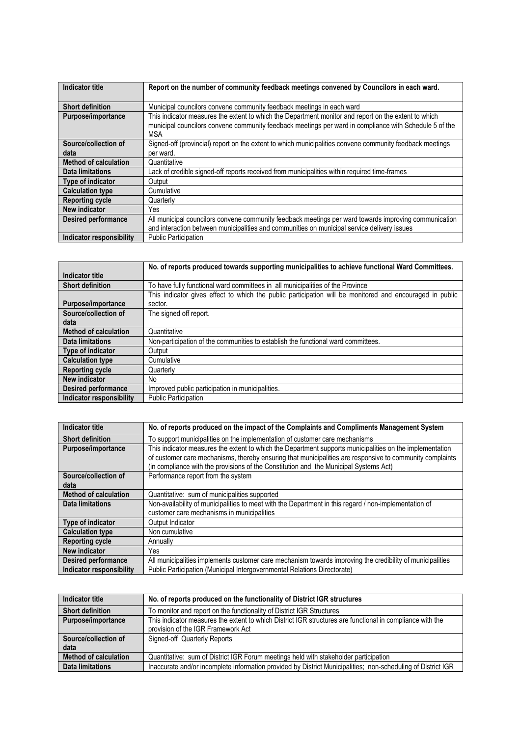| Indicator title              | Report on the number of community feedback meetings convened by Councilors in each ward.                                                                                                                              |
|------------------------------|-----------------------------------------------------------------------------------------------------------------------------------------------------------------------------------------------------------------------|
| <b>Short definition</b>      | Municipal councilors convene community feedback meetings in each ward                                                                                                                                                 |
| Purpose/importance           | This indicator measures the extent to which the Department monitor and report on the extent to which<br>municipal councilors convene community feedback meetings per ward in compliance with Schedule 5 of the<br>MSA |
| Source/collection of         | Signed-off (provincial) report on the extent to which municipalities convene community feedback meetings                                                                                                              |
| data                         | per ward.                                                                                                                                                                                                             |
| <b>Method of calculation</b> | Quantitative                                                                                                                                                                                                          |
| Data limitations             | Lack of credible signed-off reports received from municipalities within required time-frames                                                                                                                          |
| <b>Type of indicator</b>     | Output                                                                                                                                                                                                                |
| <b>Calculation type</b>      | Cumulative                                                                                                                                                                                                            |
| <b>Reporting cycle</b>       | Quarterly                                                                                                                                                                                                             |
| New indicator                | Yes                                                                                                                                                                                                                   |
| <b>Desired performance</b>   | All municipal councilors convene community feedback meetings per ward towards improving communication                                                                                                                 |
|                              | and interaction between municipalities and communities on municipal service delivery issues                                                                                                                           |
| Indicator responsibility     | <b>Public Participation</b>                                                                                                                                                                                           |

|                              | No. of reports produced towards supporting municipalities to achieve functional Ward Committees.         |
|------------------------------|----------------------------------------------------------------------------------------------------------|
| Indicator title              |                                                                                                          |
| <b>Short definition</b>      | To have fully functional ward committees in all municipalities of the Province                           |
|                              | This indicator gives effect to which the public participation will be monitored and encouraged in public |
| Purpose/importance           | sector.                                                                                                  |
| Source/collection of         | The signed off report.                                                                                   |
| data                         |                                                                                                          |
| <b>Method of calculation</b> | Quantitative                                                                                             |
| Data limitations             | Non-participation of the communities to establish the functional ward committees.                        |
| Type of indicator            | Output                                                                                                   |
| <b>Calculation type</b>      | Cumulative                                                                                               |
| <b>Reporting cycle</b>       | Quarterly                                                                                                |
| New indicator                | No.                                                                                                      |
| <b>Desired performance</b>   | Improved public participation in municipalities.                                                         |
| Indicator responsibility     | <b>Public Participation</b>                                                                              |

| <b>Indicator title</b>          | No. of reports produced on the impact of the Complaints and Compliments Management System                                                                                                                            |
|---------------------------------|----------------------------------------------------------------------------------------------------------------------------------------------------------------------------------------------------------------------|
| <b>Short definition</b>         | To support municipalities on the implementation of customer care mechanisms                                                                                                                                          |
| Purpose/importance              | This indicator measures the extent to which the Department supports municipalities on the implementation<br>of customer care mechanisms, thereby ensuring that municipalities are responsive to community complaints |
|                                 | (in compliance with the provisions of the Constitution and the Municipal Systems Act)                                                                                                                                |
| Source/collection of            | Performance report from the system                                                                                                                                                                                   |
| data                            |                                                                                                                                                                                                                      |
| <b>Method of calculation</b>    | Quantitative: sum of municipalities supported                                                                                                                                                                        |
| <b>Data limitations</b>         | Non-availability of municipalities to meet with the Department in this regard / non-implementation of                                                                                                                |
|                                 | customer care mechanisms in municipalities                                                                                                                                                                           |
| Type of indicator               | Output Indicator                                                                                                                                                                                                     |
| <b>Calculation type</b>         | Non cumulative                                                                                                                                                                                                       |
| <b>Reporting cycle</b>          | Annually                                                                                                                                                                                                             |
| New indicator                   | Yes.                                                                                                                                                                                                                 |
| <b>Desired performance</b>      | All municipalities implements customer care mechanism towards improving the credibility of municipalities                                                                                                            |
| <b>Indicator responsibility</b> | Public Participation (Municipal Intergovernmental Relations Directorate)                                                                                                                                             |

| Indicator title              | No. of reports produced on the functionality of District IGR structures                                                                         |
|------------------------------|-------------------------------------------------------------------------------------------------------------------------------------------------|
| <b>Short definition</b>      | To monitor and report on the functionality of District IGR Structures                                                                           |
| Purpose/importance           | This indicator measures the extent to which District IGR structures are functional in compliance with the<br>provision of the IGR Framework Act |
| Source/collection of         | Signed-off Quarterly Reports                                                                                                                    |
| data                         |                                                                                                                                                 |
| <b>Method of calculation</b> | Quantitative: sum of District IGR Forum meetings held with stakeholder participation                                                            |
| Data limitations             | Inaccurate and/or incomplete information provided by District Municipalities; non-scheduling of District IGR                                    |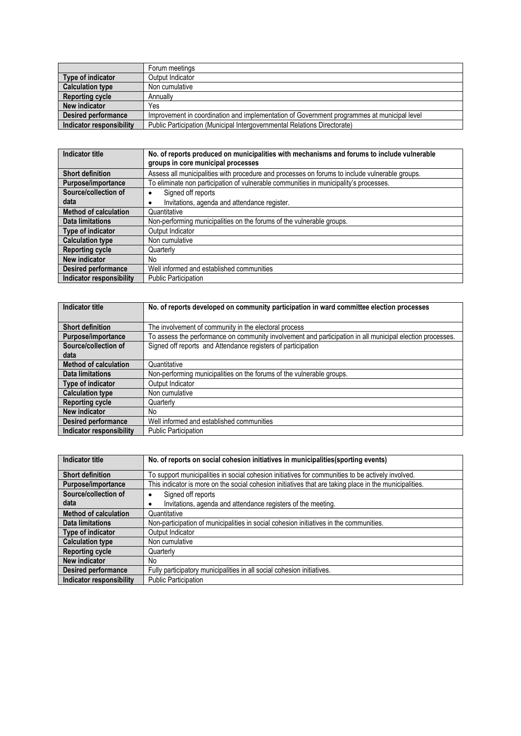|                            | Forum meetings                                                                             |
|----------------------------|--------------------------------------------------------------------------------------------|
| Type of indicator          | Output Indicator                                                                           |
| <b>Calculation type</b>    | Non cumulative                                                                             |
| <b>Reporting cycle</b>     | Annually                                                                                   |
| New indicator              | Yes                                                                                        |
| <b>Desired performance</b> | Improvement in coordination and implementation of Government programmes at municipal level |
| Indicator responsibility   | Public Participation (Municipal Intergovernmental Relations Directorate)                   |

| Indicator title              | No. of reports produced on municipalities with mechanisms and forums to include vulnerable<br>groups in core municipal processes |
|------------------------------|----------------------------------------------------------------------------------------------------------------------------------|
| <b>Short definition</b>      | Assess all municipalities with procedure and processes on forums to include vulnerable groups.                                   |
| Purpose/importance           | To eliminate non participation of vulnerable communities in municipality's processes.                                            |
| Source/collection of         | Signed off reports                                                                                                               |
| data                         | Invitations, agenda and attendance register.                                                                                     |
| <b>Method of calculation</b> | Quantitative                                                                                                                     |
| <b>Data limitations</b>      | Non-performing municipalities on the forums of the vulnerable groups.                                                            |
| Type of indicator            | Output Indicator                                                                                                                 |
| <b>Calculation type</b>      | Non cumulative                                                                                                                   |
| <b>Reporting cycle</b>       | Quarterly                                                                                                                        |
| New indicator                | No.                                                                                                                              |
| <b>Desired performance</b>   | Well informed and established communities                                                                                        |
| Indicator responsibility     | <b>Public Participation</b>                                                                                                      |

| <b>Indicator title</b>       | No. of reports developed on community participation in ward committee election processes                  |
|------------------------------|-----------------------------------------------------------------------------------------------------------|
|                              |                                                                                                           |
| <b>Short definition</b>      | The involvement of community in the electoral process                                                     |
| Purpose/importance           | To assess the performance on community involvement and participation in all municipal election processes. |
| Source/collection of         | Signed off reports and Attendance registers of participation                                              |
| data                         |                                                                                                           |
| <b>Method of calculation</b> | Quantitative                                                                                              |
| Data limitations             | Non-performing municipalities on the forums of the vulnerable groups.                                     |
| Type of indicator            | Output Indicator                                                                                          |
| <b>Calculation type</b>      | Non cumulative                                                                                            |
| <b>Reporting cycle</b>       | Quarterly                                                                                                 |
| <b>New indicator</b>         | No.                                                                                                       |
| <b>Desired performance</b>   | Well informed and established communities                                                                 |
| Indicator responsibility     | <b>Public Participation</b>                                                                               |

| <b>Indicator title</b>       | No. of reports on social cohesion initiatives in municipalities (sporting events)                      |
|------------------------------|--------------------------------------------------------------------------------------------------------|
|                              |                                                                                                        |
| <b>Short definition</b>      | To support municipalities in social cohesion initiatives for communities to be actively involved.      |
| Purpose/importance           | This indicator is more on the social cohesion initiatives that are taking place in the municipalities. |
| Source/collection of         | Signed off reports                                                                                     |
| data                         | Invitations, agenda and attendance registers of the meeting.                                           |
| <b>Method of calculation</b> | Quantitative                                                                                           |
| <b>Data limitations</b>      | Non-participation of municipalities in social cohesion initiatives in the communities.                 |
| Type of indicator            | Output Indicator                                                                                       |
| <b>Calculation type</b>      | Non cumulative                                                                                         |
| <b>Reporting cycle</b>       | Quarterly                                                                                              |
| <b>New indicator</b>         | No                                                                                                     |
| <b>Desired performance</b>   | Fully participatory municipalities in all social cohesion initiatives.                                 |
| Indicator responsibility     | <b>Public Participation</b>                                                                            |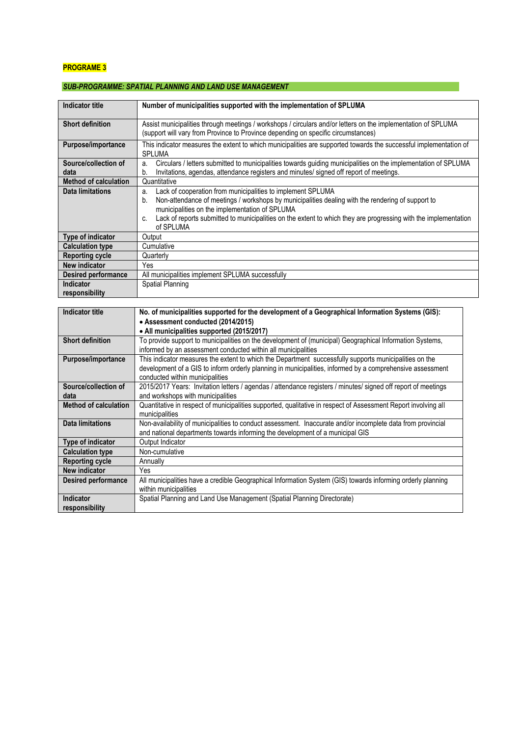# **PROGRAME 3**

# *SUB-PROGRAMME: SPATIAL PLANNING AND LAND USE MANAGEMENT*

| <b>Indicator title</b>       | Number of municipalities supported with the implementation of SPLUMA                                                                                                                                                |
|------------------------------|---------------------------------------------------------------------------------------------------------------------------------------------------------------------------------------------------------------------|
|                              |                                                                                                                                                                                                                     |
| <b>Short definition</b>      | Assist municipalities through meetings / workshops / circulars and/or letters on the implementation of SPLUMA                                                                                                       |
|                              | (support will vary from Province to Province depending on specific circumstances)                                                                                                                                   |
| Purpose/importance           | This indicator measures the extent to which municipalities are supported towards the successful implementation of<br><b>SPLUMA</b>                                                                                  |
| Source/collection of<br>data | Circulars / letters submitted to municipalities towards guiding municipalities on the implementation of SPLUMA<br>a.<br>Invitations, agendas, attendance registers and minutes/signed off report of meetings.<br>b. |
| <b>Method of calculation</b> | Quantitative                                                                                                                                                                                                        |
| Data limitations             | Lack of cooperation from municipalities to implement SPLUMA<br>a.                                                                                                                                                   |
|                              | Non-attendance of meetings / workshops by municipalities dealing with the rendering of support to<br>b.                                                                                                             |
|                              | municipalities on the implementation of SPLUMA                                                                                                                                                                      |
|                              | Lack of reports submitted to municipalities on the extent to which they are progressing with the implementation<br>C.<br>of SPLUMA                                                                                  |
| Type of indicator            | Output                                                                                                                                                                                                              |
| <b>Calculation type</b>      | Cumulative                                                                                                                                                                                                          |
| <b>Reporting cycle</b>       | Quarterly                                                                                                                                                                                                           |
| New indicator                | Yes                                                                                                                                                                                                                 |
| <b>Desired performance</b>   | All municipalities implement SPLUMA successfully                                                                                                                                                                    |
| Indicator                    | Spatial Planning                                                                                                                                                                                                    |
| responsibility               |                                                                                                                                                                                                                     |
|                              |                                                                                                                                                                                                                     |
| <b>Indicator title</b>       | No. of municipalities supported for the development of a Geographical Information Systems (GIS):                                                                                                                    |
|                              | • Assessment conducted (2014/2015)                                                                                                                                                                                  |
|                              | • All municipalities supported (2015/2017)                                                                                                                                                                          |
| <b>Short definition</b>      | To provide support to municipalities on the development of (municipal) Geographical Information Systems,<br>informed by an assessment conducted within all municipalities                                           |
| Purpose/importance           | This indicator measures the extent to which the Department successfully supports municipalities on the                                                                                                              |
|                              | development of a GIS to inform orderly planning in municipalities, informed by a comprehensive assessment                                                                                                           |
|                              | conducted within municipalities                                                                                                                                                                                     |
| Source/collection of         | 2015/2017 Years: Invitation letters / agendas / attendance registers / minutes/ signed off report of meetings                                                                                                       |
| data                         | and workshops with municipalities                                                                                                                                                                                   |
| <b>Method of calculation</b> | Quantitative in respect of municipalities supported, qualitative in respect of Assessment Report involving all                                                                                                      |

| <b>Method of calculation</b> | Quantitative in respect of municipalities supported, qualitative in respect of Assessment Report involving all |
|------------------------------|----------------------------------------------------------------------------------------------------------------|
|                              | municipalities                                                                                                 |
| <b>Data limitations</b>      | Non-availability of municipalities to conduct assessment. Inaccurate and/or incomplete data from provincial    |
|                              | and national departments towards informing the development of a municipal GIS                                  |
| Type of indicator            | Output Indicator                                                                                               |
| <b>Calculation type</b>      | Non-cumulative                                                                                                 |
| Reporting cycle              | Annually                                                                                                       |
| New indicator                | Yes                                                                                                            |
| <b>Desired performance</b>   | All municipalities have a credible Geographical Information System (GIS) towards informing orderly planning    |
|                              | within municipalities                                                                                          |
| <b>Indicator</b>             | Spatial Planning and Land Use Management (Spatial Planning Directorate)                                        |
| responsibility               |                                                                                                                |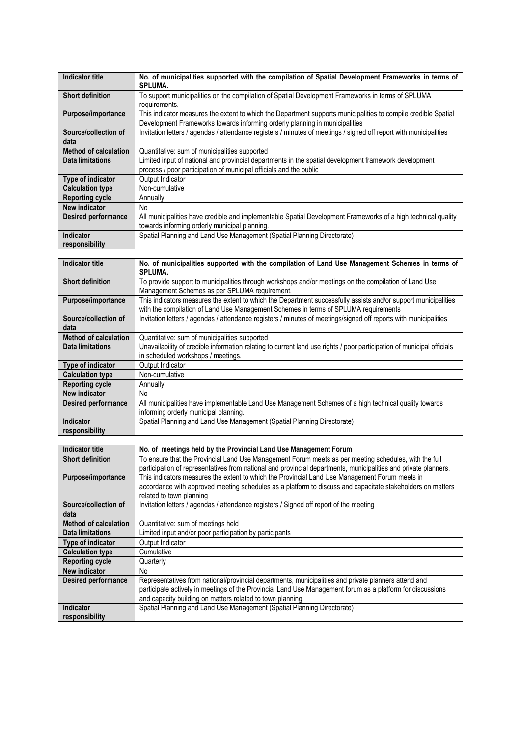| <b>Indicator title</b>       | No. of municipalities supported with the compilation of Spatial Development Frameworks in terms of                |
|------------------------------|-------------------------------------------------------------------------------------------------------------------|
|                              | SPLUMA.                                                                                                           |
| <b>Short definition</b>      | To support municipalities on the compilation of Spatial Development Frameworks in terms of SPLUMA                 |
|                              | requirements.                                                                                                     |
| Purpose/importance           | This indicator measures the extent to which the Department supports municipalities to compile credible Spatial    |
|                              | Development Frameworks towards informing orderly planning in municipalities                                       |
| Source/collection of         | Invitation letters / agendas / attendance registers / minutes of meetings / signed off report with municipalities |
| data                         |                                                                                                                   |
| <b>Method of calculation</b> | Quantitative: sum of municipalities supported                                                                     |
| <b>Data limitations</b>      | Limited input of national and provincial departments in the spatial development framework development             |
|                              | process / poor participation of municipal officials and the public                                                |
| Type of indicator            | Output Indicator                                                                                                  |
| <b>Calculation type</b>      | Non-cumulative                                                                                                    |
| <b>Reporting cycle</b>       | Annually                                                                                                          |
| New indicator                | No.                                                                                                               |
| <b>Desired performance</b>   | All municipalities have credible and implementable Spatial Development Frameworks of a high technical quality     |
|                              | towards informing orderly municipal planning.                                                                     |
| <b>Indicator</b>             | Spatial Planning and Land Use Management (Spatial Planning Directorate)                                           |
| responsibility               |                                                                                                                   |

| <b>Indicator title</b>       | No. of municipalities supported with the compilation of Land Use Management Schemes in terms of<br><b>SPLUMA.</b>                                                                                     |
|------------------------------|-------------------------------------------------------------------------------------------------------------------------------------------------------------------------------------------------------|
| <b>Short definition</b>      | To provide support to municipalities through workshops and/or meetings on the compilation of Land Use<br>Management Schemes as per SPLUMA requirement.                                                |
| Purpose/importance           | This indicators measures the extent to which the Department successfully assists and/or support municipalities<br>with the compilation of Land Use Management Schemes in terms of SPLUMA requirements |
| Source/collection of<br>data | Invitation letters / agendas / attendance registers / minutes of meetings/signed off reports with municipalities                                                                                      |
| <b>Method of calculation</b> | Quantitative: sum of municipalities supported                                                                                                                                                         |
| Data limitations             | Unavailability of credible information relating to current land use rights / poor participation of municipal officials                                                                                |
|                              | in scheduled workshops / meetings.                                                                                                                                                                    |
| Type of indicator            | Output Indicator                                                                                                                                                                                      |
| <b>Calculation type</b>      | Non-cumulative                                                                                                                                                                                        |
| <b>Reporting cycle</b>       | Annually                                                                                                                                                                                              |
| New indicator                | No.                                                                                                                                                                                                   |
| <b>Desired performance</b>   | All municipalities have implementable Land Use Management Schemes of a high technical quality towards                                                                                                 |
|                              | informing orderly municipal planning.                                                                                                                                                                 |
| <b>Indicator</b>             | Spatial Planning and Land Use Management (Spatial Planning Directorate)                                                                                                                               |
| responsibility               |                                                                                                                                                                                                       |

| <b>Indicator title</b>       | No. of meetings held by the Provincial Land Use Management Forum                                                |
|------------------------------|-----------------------------------------------------------------------------------------------------------------|
| <b>Short definition</b>      | To ensure that the Provincial Land Use Management Forum meets as per meeting schedules, with the full           |
|                              | participation of representatives from national and provincial departments, municipalities and private planners. |
| Purpose/importance           | This indicators measures the extent to which the Provincial Land Use Management Forum meets in                  |
|                              | accordance with approved meeting schedules as a platform to discuss and capacitate stakeholders on matters      |
|                              | related to town planning                                                                                        |
| Source/collection of         | Invitation letters / agendas / attendance registers / Signed off report of the meeting                          |
| data                         |                                                                                                                 |
| <b>Method of calculation</b> | Quantitative: sum of meetings held                                                                              |
| Data limitations             | Limited input and/or poor participation by participants                                                         |
| Type of indicator            | Output Indicator                                                                                                |
| <b>Calculation type</b>      | Cumulative                                                                                                      |
| <b>Reporting cycle</b>       | Quarterly                                                                                                       |
| New indicator                | No                                                                                                              |
| <b>Desired performance</b>   | Representatives from national/provincial departments, municipalities and private planners attend and            |
|                              | participate actively in meetings of the Provincial Land Use Management forum as a platform for discussions      |
|                              | and capacity building on matters related to town planning                                                       |
| <b>Indicator</b>             | Spatial Planning and Land Use Management (Spatial Planning Directorate)                                         |
| responsibility               |                                                                                                                 |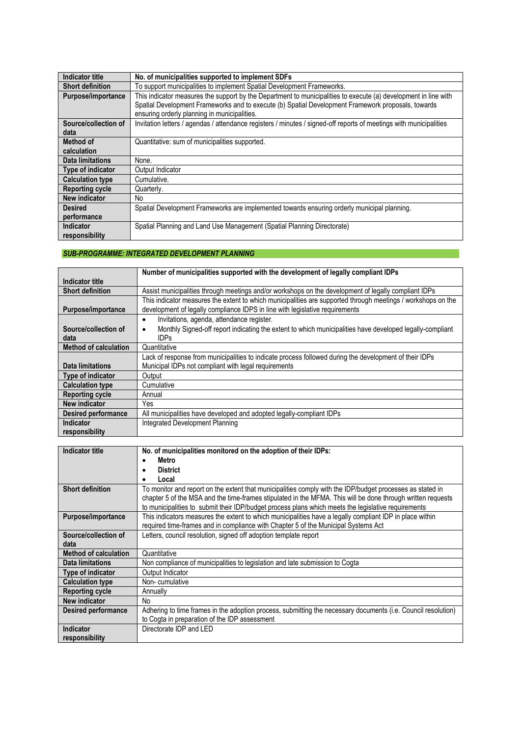| Indicator title         | No. of municipalities supported to implement SDFs                                                                  |
|-------------------------|--------------------------------------------------------------------------------------------------------------------|
| <b>Short definition</b> | To support municipalities to implement Spatial Development Frameworks.                                             |
| Purpose/importance      | This indicator measures the support by the Department to municipalities to execute (a) development in line with    |
|                         | Spatial Development Frameworks and to execute (b) Spatial Development Framework proposals, towards                 |
|                         | ensuring orderly planning in municipalities.                                                                       |
| Source/collection of    | Invitation letters / agendas / attendance registers / minutes / signed-off reports of meetings with municipalities |
| data                    |                                                                                                                    |
| Method of               | Quantitative: sum of municipalities supported.                                                                     |
| calculation             |                                                                                                                    |
| <b>Data limitations</b> | None.                                                                                                              |
| Type of indicator       | Output Indicator                                                                                                   |
| <b>Calculation type</b> | Cumulative.                                                                                                        |
| <b>Reporting cycle</b>  | Quarterly.                                                                                                         |
| New indicator           | No.                                                                                                                |
| <b>Desired</b>          | Spatial Development Frameworks are implemented towards ensuring orderly municipal planning.                        |
| performance             |                                                                                                                    |
| <b>Indicator</b>        | Spatial Planning and Land Use Management (Spatial Planning Directorate)                                            |
| responsibility          |                                                                                                                    |

#### *SUB-PROGRAMME: INTEGRATED DEVELOPMENT PLANNING*

|                              | Number of municipalities supported with the development of legally compliant IDPs                                     |
|------------------------------|-----------------------------------------------------------------------------------------------------------------------|
| Indicator title              |                                                                                                                       |
| <b>Short definition</b>      | Assist municipalities through meetings and/or workshops on the development of legally compliant IDPs                  |
|                              | This indicator measures the extent to which municipalities are supported through meetings / workshops on the          |
| Purpose/importance           | development of legally compliance IDPS in line with legislative requirements                                          |
|                              | Invitations, agenda, attendance register.<br>$\bullet$                                                                |
| Source/collection of         | Monthly Signed-off report indicating the extent to which municipalities have developed legally-compliant<br>$\bullet$ |
| data                         | <b>IDPs</b>                                                                                                           |
| <b>Method of calculation</b> | Quantitative                                                                                                          |
|                              | Lack of response from municipalities to indicate process followed during the development of their IDPs                |
| Data limitations             | Municipal IDPs not compliant with legal requirements                                                                  |
| Type of indicator            | Output                                                                                                                |
| <b>Calculation type</b>      | Cumulative                                                                                                            |
| <b>Reporting cycle</b>       | Annual                                                                                                                |
| New indicator                | Yes                                                                                                                   |
| <b>Desired performance</b>   | All municipalities have developed and adopted legally-compliant IDPs                                                  |
| <b>Indicator</b>             | Integrated Development Planning                                                                                       |
| responsibility               |                                                                                                                       |

| <b>Indicator title</b>       | No. of municipalities monitored on the adoption of their IDPs:                                                |
|------------------------------|---------------------------------------------------------------------------------------------------------------|
|                              |                                                                                                               |
|                              | Metro                                                                                                         |
|                              | <b>District</b>                                                                                               |
|                              | Local                                                                                                         |
| <b>Short definition</b>      | To monitor and report on the extent that municipalities comply with the IDP/budget processes as stated in     |
|                              | chapter 5 of the MSA and the time-frames stipulated in the MFMA. This will be done through written requests   |
|                              | to municipalities to submit their IDP/budget process plans which meets the legislative requirements           |
| Purpose/importance           | This indicators measures the extent to which municipalities have a legally compliant IDP in place within      |
|                              | required time-frames and in compliance with Chapter 5 of the Municipal Systems Act                            |
| Source/collection of         | Letters, council resolution, signed off adoption template report                                              |
| data                         |                                                                                                               |
| <b>Method of calculation</b> | Quantitative                                                                                                  |
| Data limitations             | Non compliance of municipalities to legislation and late submission to Cogta                                  |
| <b>Type of indicator</b>     | Output Indicator                                                                                              |
| <b>Calculation type</b>      | Non-cumulative                                                                                                |
| <b>Reporting cycle</b>       | Annually                                                                                                      |
| New indicator                | No                                                                                                            |
| <b>Desired performance</b>   | Adhering to time frames in the adoption process, submitting the necessary documents (i.e. Council resolution) |
|                              | to Cogta in preparation of the IDP assessment                                                                 |
| <b>Indicator</b>             | Directorate IDP and LED                                                                                       |
| responsibility               |                                                                                                               |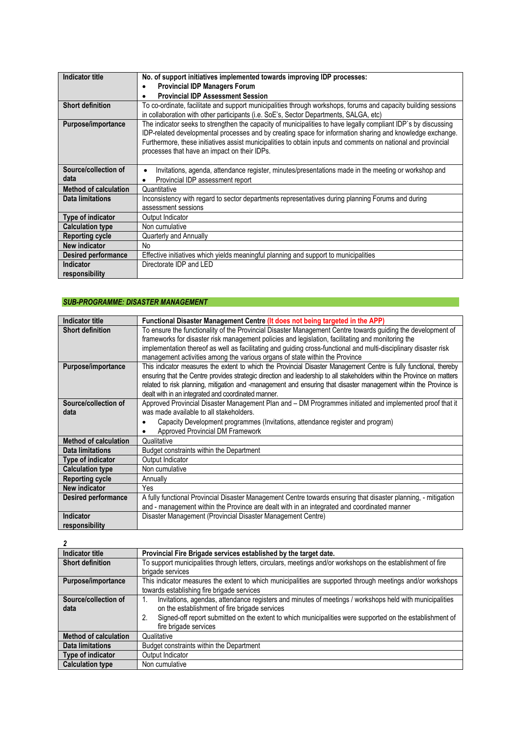| <b>Indicator title</b>       | No. of support initiatives implemented towards improving IDP processes:                                                                                                                                                                                                                                                                                                                      |
|------------------------------|----------------------------------------------------------------------------------------------------------------------------------------------------------------------------------------------------------------------------------------------------------------------------------------------------------------------------------------------------------------------------------------------|
|                              | <b>Provincial IDP Managers Forum</b>                                                                                                                                                                                                                                                                                                                                                         |
|                              | <b>Provincial IDP Assessment Session</b>                                                                                                                                                                                                                                                                                                                                                     |
| <b>Short definition</b>      | To co-ordinate, facilitate and support municipalities through workshops, forums and capacity building sessions<br>in collaboration with other participants (i.e. SoE's, Sector Departments, SALGA, etc)                                                                                                                                                                                      |
| Purpose/importance           | The indicator seeks to strengthen the capacity of municipalities to have legally compliant IDP's by discussing<br>IDP-related developmental processes and by creating space for information sharing and knowledge exchange.<br>Furthermore, these initiatives assist municipalities to obtain inputs and comments on national and provincial<br>processes that have an impact on their IDPs. |
| Source/collection of         | Invitations, agenda, attendance register, minutes/presentations made in the meeting or workshop and                                                                                                                                                                                                                                                                                          |
| data                         | Provincial IDP assessment report                                                                                                                                                                                                                                                                                                                                                             |
| <b>Method of calculation</b> | Quantitative                                                                                                                                                                                                                                                                                                                                                                                 |
| Data limitations             | Inconsistency with regard to sector departments representatives during planning Forums and during<br>assessment sessions                                                                                                                                                                                                                                                                     |
| Type of indicator            | Output Indicator                                                                                                                                                                                                                                                                                                                                                                             |
| <b>Calculation type</b>      | Non cumulative                                                                                                                                                                                                                                                                                                                                                                               |
| <b>Reporting cycle</b>       | Quarterly and Annually                                                                                                                                                                                                                                                                                                                                                                       |
| New indicator                | N <sub>o</sub>                                                                                                                                                                                                                                                                                                                                                                               |
| <b>Desired performance</b>   | Effective initiatives which yields meaningful planning and support to municipalities                                                                                                                                                                                                                                                                                                         |
| <b>Indicator</b>             | Directorate IDP and LED                                                                                                                                                                                                                                                                                                                                                                      |
| responsibility               |                                                                                                                                                                                                                                                                                                                                                                                              |

### *SUB-PROGRAMME: DISASTER MANAGEMENT*

| <b>Indicator title</b>       | Functional Disaster Management Centre (It does not being targeted in the APP)                                           |
|------------------------------|-------------------------------------------------------------------------------------------------------------------------|
| <b>Short definition</b>      | To ensure the functionality of the Provincial Disaster Management Centre towards guiding the development of             |
|                              | frameworks for disaster risk management policies and legislation, facilitating and monitoring the                       |
|                              | implementation thereof as well as facilitating and guiding cross-functional and multi-disciplinary disaster risk        |
|                              | management activities among the various organs of state within the Province                                             |
| Purpose/importance           | This indicator measures the extent to which the Provincial Disaster Management Centre is fully functional, thereby      |
|                              | ensuring that the Centre provides strategic direction and leadership to all stakeholders within the Province on matters |
|                              | related to risk planning, mitigation and -management and ensuring that disaster management within the Province is       |
|                              | dealt with in an integrated and coordinated manner.                                                                     |
| Source/collection of         | Approved Provincial Disaster Management Plan and - DM Programmes initiated and implemented proof that it                |
| data                         | was made available to all stakeholders.                                                                                 |
|                              | Capacity Development programmes (Invitations, attendance register and program)                                          |
|                              | Approved Provincial DM Framework                                                                                        |
| <b>Method of calculation</b> | Qualitative                                                                                                             |
| Data limitations             | Budget constraints within the Department                                                                                |
| <b>Type of indicator</b>     | Output Indicator                                                                                                        |
| <b>Calculation type</b>      | Non cumulative                                                                                                          |
| <b>Reporting cycle</b>       | Annually                                                                                                                |
| New indicator                | Yes                                                                                                                     |
| <b>Desired performance</b>   | A fully functional Provincial Disaster Management Centre towards ensuring that disaster planning, - mitigation          |
|                              | and - management within the Province are dealt with in an integrated and coordinated manner                             |
| <b>Indicator</b>             | Disaster Management (Provincial Disaster Management Centre)                                                             |
| responsibility               |                                                                                                                         |

*2*

| Indicator title              | Provincial Fire Brigade services established by the target date.                                             |
|------------------------------|--------------------------------------------------------------------------------------------------------------|
| <b>Short definition</b>      | To support municipalities through letters, circulars, meetings and/or workshops on the establishment of fire |
|                              | brigade services                                                                                             |
| Purpose/importance           | This indicator measures the extent to which municipalities are supported through meetings and/or workshops   |
|                              | towards establishing fire brigade services                                                                   |
| Source/collection of         | Invitations, agendas, attendance registers and minutes of meetings / workshops held with municipalities      |
| data                         | on the establishment of fire brigade services                                                                |
|                              | Signed-off report submitted on the extent to which municipalities were supported on the establishment of     |
|                              | fire brigade services                                                                                        |
| <b>Method of calculation</b> | Qualitative                                                                                                  |
| <b>Data limitations</b>      | Budget constraints within the Department                                                                     |
| Type of indicator            | Output Indicator                                                                                             |
| <b>Calculation type</b>      | Non cumulative                                                                                               |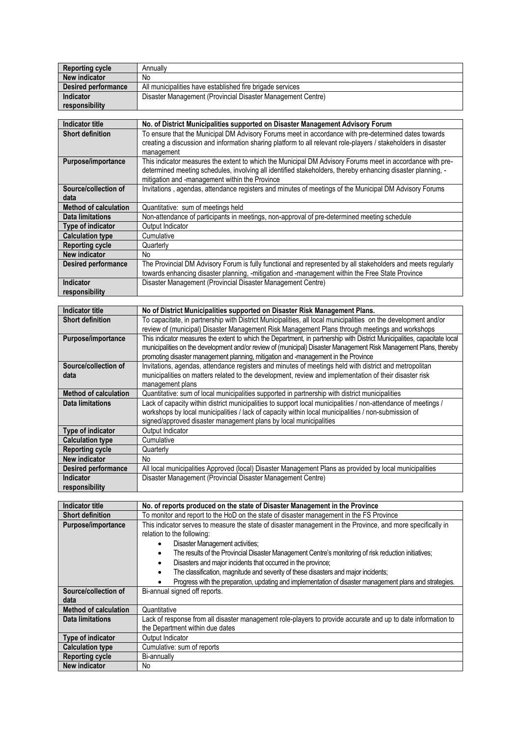| <b>Reporting cycle</b> | Annually                                                    |
|------------------------|-------------------------------------------------------------|
| New indicator          | No                                                          |
| Desired performance    | All municipalities have established fire brigade services   |
| Indicator              | Disaster Management (Provincial Disaster Management Centre) |
| responsibility         |                                                             |

| <b>Indicator title</b>       | No. of District Municipalities supported on Disaster Management Advisory Forum                                               |
|------------------------------|------------------------------------------------------------------------------------------------------------------------------|
| <b>Short definition</b>      | To ensure that the Municipal DM Advisory Forums meet in accordance with pre-determined dates towards                         |
|                              | creating a discussion and information sharing platform to all relevant role-players / stakeholders in disaster<br>management |
|                              |                                                                                                                              |
| Purpose/importance           | This indicator measures the extent to which the Municipal DM Advisory Forums meet in accordance with pre-                    |
|                              | determined meeting schedules, involving all identified stakeholders, thereby enhancing disaster planning, -                  |
|                              | mitigation and -management within the Province                                                                               |
| Source/collection of         | Invitations, agendas, attendance registers and minutes of meetings of the Municipal DM Advisory Forums                       |
| data                         |                                                                                                                              |
| <b>Method of calculation</b> | Quantitative: sum of meetings held                                                                                           |
| Data limitations             | Non-attendance of participants in meetings, non-approval of pre-determined meeting schedule                                  |
| Type of indicator            | Output Indicator                                                                                                             |
| <b>Calculation type</b>      | Cumulative                                                                                                                   |
| <b>Reporting cycle</b>       | Quarterly                                                                                                                    |
| New indicator                | No.                                                                                                                          |
| <b>Desired performance</b>   | The Provincial DM Advisory Forum is fully functional and represented by all stakeholders and meets regularly                 |
|                              | towards enhancing disaster planning, -mitigation and -management within the Free State Province                              |
| <b>Indicator</b>             | Disaster Management (Provincial Disaster Management Centre)                                                                  |
| responsibility               |                                                                                                                              |

| <b>Indicator title</b>       | No of District Municipalities supported on Disaster Risk Management Plans.                                                |
|------------------------------|---------------------------------------------------------------------------------------------------------------------------|
| <b>Short definition</b>      | To capacitate, in partnership with District Municipalities, all local municipalities on the development and/or            |
|                              | review of (municipal) Disaster Management Risk Management Plans through meetings and workshops                            |
| Purpose/importance           | This indicator measures the extent to which the Department, in partnership with District Municipalities, capacitate local |
|                              | municipalities on the development and/or review of (municipal) Disaster Management Risk Management Plans, thereby         |
|                              | promoting disaster management planning, mitigation and -management in the Province                                        |
| Source/collection of         | Invitations, agendas, attendance registers and minutes of meetings held with district and metropolitan                    |
| data                         | municipalities on matters related to the development, review and implementation of their disaster risk                    |
|                              | management plans                                                                                                          |
| <b>Method of calculation</b> | Quantitative: sum of local municipalities supported in partnership with district municipalities                           |
| Data limitations             | Lack of capacity within district municipalities to support local municipalities / non-attendance of meetings /            |
|                              | workshops by local municipalities / lack of capacity within local municipalities / non-submission of                      |
|                              | signed/approved disaster management plans by local municipalities                                                         |
| Type of indicator            | Output Indicator                                                                                                          |
| <b>Calculation type</b>      | Cumulative                                                                                                                |
| <b>Reporting cycle</b>       | Quarterly                                                                                                                 |
| New indicator                | No.                                                                                                                       |
| <b>Desired performance</b>   | All local municipalities Approved (local) Disaster Management Plans as provided by local municipalities                   |
| Indicator                    | Disaster Management (Provincial Disaster Management Centre)                                                               |
| responsibility               |                                                                                                                           |

| <b>Indicator title</b>       | No. of reports produced on the state of Disaster Management in the Province                                                                                                                                                                                                                                                                                                                                                                                                                                                                                                     |
|------------------------------|---------------------------------------------------------------------------------------------------------------------------------------------------------------------------------------------------------------------------------------------------------------------------------------------------------------------------------------------------------------------------------------------------------------------------------------------------------------------------------------------------------------------------------------------------------------------------------|
| <b>Short definition</b>      | To monitor and report to the HoD on the state of disaster management in the FS Province                                                                                                                                                                                                                                                                                                                                                                                                                                                                                         |
| Purpose/importance           | This indicator serves to measure the state of disaster management in the Province, and more specifically in<br>relation to the following:<br>Disaster Management activities:<br>The results of the Provincial Disaster Management Centre's monitoring of risk reduction initiatives;<br>Disasters and major incidents that occurred in the province;<br>$\bullet$<br>The classification, magnitude and severity of these disasters and major incidents;<br>$\bullet$<br>Progress with the preparation, updating and implementation of disaster management plans and strategies. |
| Source/collection of<br>data | Bi-annual signed off reports.                                                                                                                                                                                                                                                                                                                                                                                                                                                                                                                                                   |
| <b>Method of calculation</b> | Quantitative                                                                                                                                                                                                                                                                                                                                                                                                                                                                                                                                                                    |
| Data limitations             | Lack of response from all disaster management role-players to provide accurate and up to date information to<br>the Department within due dates                                                                                                                                                                                                                                                                                                                                                                                                                                 |
| Type of indicator            | Output Indicator                                                                                                                                                                                                                                                                                                                                                                                                                                                                                                                                                                |
| <b>Calculation type</b>      | Cumulative: sum of reports                                                                                                                                                                                                                                                                                                                                                                                                                                                                                                                                                      |
| <b>Reporting cycle</b>       | Bi-annually                                                                                                                                                                                                                                                                                                                                                                                                                                                                                                                                                                     |
| <b>New indicator</b>         | No.                                                                                                                                                                                                                                                                                                                                                                                                                                                                                                                                                                             |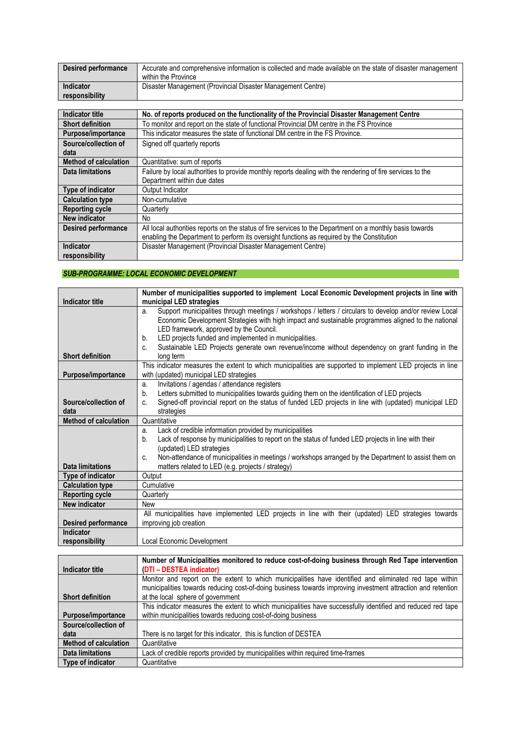| <b>Desired performance</b> | Accurate and comprehensive information is collected and made available on the state of disaster management<br>within the Province |
|----------------------------|-----------------------------------------------------------------------------------------------------------------------------------|
| Indicator                  | Disaster Management (Provincial Disaster Management Centre)                                                                       |
| responsibility             |                                                                                                                                   |

| <b>Indicator title</b>       | No. of reports produced on the functionality of the Provincial Disaster Management Centre                  |
|------------------------------|------------------------------------------------------------------------------------------------------------|
| <b>Short definition</b>      | To monitor and report on the state of functional Provincial DM centre in the FS Province                   |
| Purpose/importance           | This indicator measures the state of functional DM centre in the FS Province.                              |
| Source/collection of         | Signed off quarterly reports                                                                               |
| data                         |                                                                                                            |
| <b>Method of calculation</b> | Quantitative: sum of reports                                                                               |
| <b>Data limitations</b>      | Failure by local authorities to provide monthly reports dealing with the rendering of fire services to the |
|                              | Department within due dates                                                                                |
| Type of indicator            | Output Indicator                                                                                           |
| <b>Calculation type</b>      | Non-cumulative                                                                                             |
| <b>Reporting cycle</b>       | Quarterly                                                                                                  |
| New indicator                | No.                                                                                                        |
| <b>Desired performance</b>   | All local authorities reports on the status of fire services to the Department on a monthly basis towards  |
|                              | enabling the Department to perform its oversight functions as required by the Constitution                 |
| Indicator                    | Disaster Management (Provincial Disaster Management Centre)                                                |
| responsibility               |                                                                                                            |

# *SUB-PROGRAMME: LOCAL ECONOMIC DEVELOPMENT*

|                              | Number of municipalities supported to implement Local Economic Development projects in line with               |
|------------------------------|----------------------------------------------------------------------------------------------------------------|
| <b>Indicator title</b>       | municipal LED strategies                                                                                       |
|                              | Support municipalities through meetings / workshops / letters / circulars to develop and/or review Local<br>a. |
|                              | Economic Development Strategies with high impact and sustainable programmes aligned to the national            |
|                              | LED framework, approved by the Council.                                                                        |
|                              | LED projects funded and implemented in municipalities.<br>b.                                                   |
|                              | Sustainable LED Projects generate own revenue/income without dependency on grant funding in the<br>C.          |
| <b>Short definition</b>      | long term                                                                                                      |
|                              | This indicator measures the extent to which municipalities are supported to implement LED projects in line     |
| Purpose/importance           | with (updated) municipal LED strategies                                                                        |
|                              | Invitations / agendas / attendance registers<br>a.                                                             |
|                              | Letters submitted to municipalities towards guiding them on the identification of LED projects<br>b.           |
| Source/collection of         | Signed-off provincial report on the status of funded LED projects in line with (updated) municipal LED<br>C.   |
| data                         | strategies                                                                                                     |
| <b>Method of calculation</b> | Quantitative                                                                                                   |
|                              | Lack of credible information provided by municipalities<br>a.                                                  |
|                              | Lack of response by municipalities to report on the status of funded LED projects in line with their<br>b.     |
|                              | (updated) LED strategies                                                                                       |
|                              | Non-attendance of municipalities in meetings / workshops arranged by the Department to assist them on<br>C.    |
| Data limitations             | matters related to LED (e.g. projects / strategy)                                                              |
| Type of indicator            | Output                                                                                                         |
| <b>Calculation type</b>      | Cumulative                                                                                                     |
| <b>Reporting cycle</b>       | Quarterly                                                                                                      |
| New indicator                | <b>New</b>                                                                                                     |
|                              | All municipalities have implemented LED projects in line with their (updated) LED strategies towards           |
| <b>Desired performance</b>   | improving job creation                                                                                         |
| Indicator                    |                                                                                                                |
| responsibility               | Local Economic Development                                                                                     |

|                         | Number of Municipalities monitored to reduce cost-of-doing business through Red Tape intervention            |
|-------------------------|--------------------------------------------------------------------------------------------------------------|
| Indicator title         | (DTI - DESTEA indicator)                                                                                     |
|                         | Monitor and report on the extent to which municipalities have identified and eliminated red tape within      |
|                         | municipalities towards reducing cost-of-doing business towards improving investment attraction and retention |
| <b>Short definition</b> | at the local sphere of government                                                                            |
|                         | This indicator measures the extent to which municipalities have successfully identified and reduced red tape |
| Purpose/importance      | within municipalities towards reducing cost-of-doing business                                                |
| Source/collection of    |                                                                                                              |
| data                    | There is no target for this indicator, this is function of DESTEA                                            |
| Method of calculation   | Quantitative                                                                                                 |
| <b>Data limitations</b> | Lack of credible reports provided by municipalities within required time-frames                              |
| Type of indicator       | Quantitative                                                                                                 |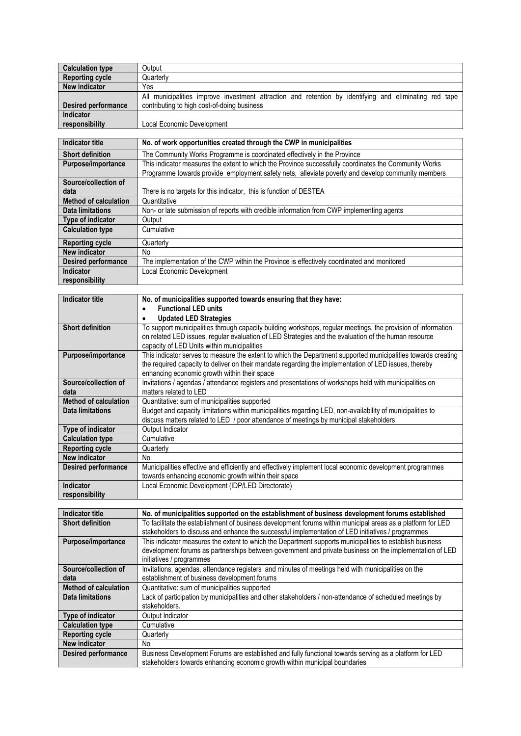| <b>Calculation type</b>    | Output                                                                                                 |
|----------------------------|--------------------------------------------------------------------------------------------------------|
| <b>Reporting cycle</b>     | Quarterly                                                                                              |
| New indicator              | Yes                                                                                                    |
|                            | All municipalities improve investment attraction and retention by identifying and eliminating red tape |
| <b>Desired performance</b> | contributing to high cost-of-doing business                                                            |
| Indicator                  |                                                                                                        |
| responsibility             | Local Economic Development                                                                             |

| <b>Indicator title</b>       | No. of work opportunities created through the CWP in municipalities                                                                                                                                        |
|------------------------------|------------------------------------------------------------------------------------------------------------------------------------------------------------------------------------------------------------|
| <b>Short definition</b>      | The Community Works Programme is coordinated effectively in the Province                                                                                                                                   |
| Purpose/importance           | This indicator measures the extent to which the Province successfully coordinates the Community Works<br>Programme towards provide employment safety nets, alleviate poverty and develop community members |
| Source/collection of         |                                                                                                                                                                                                            |
| data                         | There is no targets for this indicator, this is function of DESTEA                                                                                                                                         |
| <b>Method of calculation</b> | Quantitative                                                                                                                                                                                               |
| Data limitations             | Non- or late submission of reports with credible information from CWP implementing agents                                                                                                                  |
| Type of indicator            | Output                                                                                                                                                                                                     |
| <b>Calculation type</b>      | Cumulative                                                                                                                                                                                                 |
| <b>Reporting cycle</b>       | Quarterly                                                                                                                                                                                                  |
| New indicator                | No                                                                                                                                                                                                         |
| <b>Desired performance</b>   | The implementation of the CWP within the Province is effectively coordinated and monitored                                                                                                                 |
| Indicator                    | Local Economic Development                                                                                                                                                                                 |
| responsibility               |                                                                                                                                                                                                            |

| <b>Indicator title</b>       | No. of municipalities supported towards ensuring that they have:                                                                                                                                                      |
|------------------------------|-----------------------------------------------------------------------------------------------------------------------------------------------------------------------------------------------------------------------|
|                              | <b>Functional LED units</b>                                                                                                                                                                                           |
|                              | <b>Updated LED Strategies</b>                                                                                                                                                                                         |
| <b>Short definition</b>      | To support municipalities through capacity building workshops, regular meetings, the provision of information<br>on related LED issues, regular evaluation of LED Strategies and the evaluation of the human resource |
|                              | capacity of LED Units within municipalities                                                                                                                                                                           |
| Purpose/importance           | This indicator serves to measure the extent to which the Department supported municipalities towards creating                                                                                                         |
|                              | the required capacity to deliver on their mandate regarding the implementation of LED issues, thereby                                                                                                                 |
|                              | enhancing economic growth within their space                                                                                                                                                                          |
| Source/collection of         | Invitations / agendas / attendance registers and presentations of workshops held with municipalities on                                                                                                               |
| data                         | matters related to LED                                                                                                                                                                                                |
| <b>Method of calculation</b> | Quantitative: sum of municipalities supported                                                                                                                                                                         |
| Data limitations             | Budget and capacity limitations within municipalities regarding LED, non-availability of municipalities to                                                                                                            |
|                              | discuss matters related to LED / poor attendance of meetings by municipal stakeholders                                                                                                                                |
| Type of indicator            | Output Indicator                                                                                                                                                                                                      |
| <b>Calculation type</b>      | Cumulative                                                                                                                                                                                                            |
| <b>Reporting cycle</b>       | Quarterly                                                                                                                                                                                                             |
| New indicator                | No                                                                                                                                                                                                                    |
| <b>Desired performance</b>   | Municipalities effective and efficiently and effectively implement local economic development programmes                                                                                                              |
|                              | towards enhancing economic growth within their space                                                                                                                                                                  |
| <b>Indicator</b>             | Local Economic Development (IDP/LED Directorate)                                                                                                                                                                      |
| responsibility               |                                                                                                                                                                                                                       |

| <b>Indicator title</b>       | No. of municipalities supported on the establishment of business development forums established             |
|------------------------------|-------------------------------------------------------------------------------------------------------------|
| <b>Short definition</b>      | To facilitate the establishment of business development forums within municipal areas as a platform for LED |
|                              | stakeholders to discuss and enhance the successful implementation of LED initiatives / programmes           |
| Purpose/importance           | This indicator measures the extent to which the Department supports municipalities to establish business    |
|                              | development forums as partnerships between government and private business on the implementation of LED     |
|                              | initiatives / programmes                                                                                    |
| Source/collection of         | Invitations, agendas, attendance registers and minutes of meetings held with municipalities on the          |
| data                         | establishment of business development forums                                                                |
| <b>Method of calculation</b> | Quantitative: sum of municipalities supported                                                               |
| Data limitations             | Lack of participation by municipalities and other stakeholders / non-attendance of scheduled meetings by    |
|                              | stakeholders.                                                                                               |
| Type of indicator            | Output Indicator                                                                                            |
| <b>Calculation type</b>      | Cumulative                                                                                                  |
| <b>Reporting cycle</b>       | Quarterly                                                                                                   |
| New indicator                | No.                                                                                                         |
| <b>Desired performance</b>   | Business Development Forums are established and fully functional towards serving as a platform for LED      |
|                              | stakeholders towards enhancing economic growth within municipal boundaries                                  |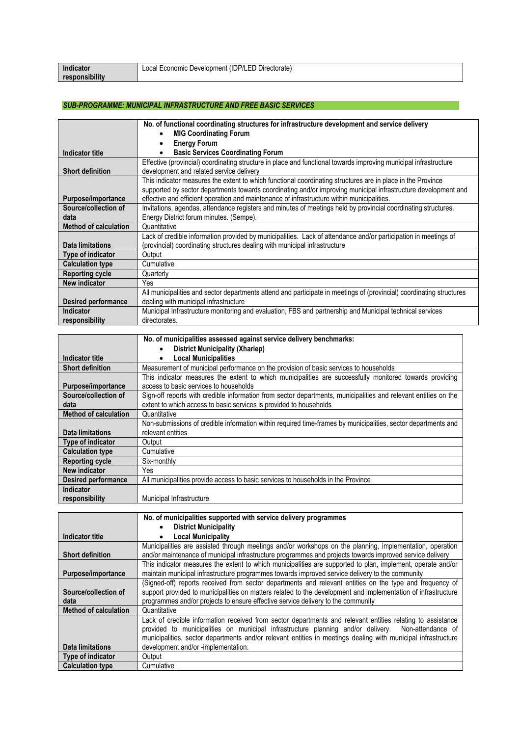| $\cdots$<br>Indicator | (IDP/LED)<br>Local Economic Development<br>∪lrectorate) |
|-----------------------|---------------------------------------------------------|
| responsibility        |                                                         |

#### *SUB-PROGRAMME: MUNICIPAL INFRASTRUCTURE AND FREE BASIC SERVICES*

|                              | No. of functional coordinating structures for infrastructure development and service delivery                        |
|------------------------------|----------------------------------------------------------------------------------------------------------------------|
|                              | <b>MIG Coordinating Forum</b><br>$\bullet$                                                                           |
|                              | <b>Energy Forum</b><br>٠                                                                                             |
| Indicator title              | <b>Basic Services Coordinating Forum</b><br>$\bullet$                                                                |
|                              | Effective (provincial) coordinating structure in place and functional towards improving municipal infrastructure     |
| <b>Short definition</b>      | development and related service delivery                                                                             |
|                              | This indicator measures the extent to which functional coordinating structures are in place in the Province          |
|                              | supported by sector departments towards coordinating and/or improving municipal infrastructure development and       |
| Purpose/importance           | effective and efficient operation and maintenance of infrastructure within municipalities.                           |
| Source/collection of         | Invitations, agendas, attendance registers and minutes of meetings held by provincial coordinating structures.       |
| data                         | Energy District forum minutes. (Sempe).                                                                              |
| <b>Method of calculation</b> | Quantitative                                                                                                         |
|                              | Lack of credible information provided by municipalities. Lack of attendance and/or participation in meetings of      |
| <b>Data limitations</b>      | (provincial) coordinating structures dealing with municipal infrastructure                                           |
| Type of indicator            | Output                                                                                                               |
| <b>Calculation type</b>      | Cumulative                                                                                                           |
| <b>Reporting cycle</b>       | Quarterly                                                                                                            |
| New indicator                | Yes                                                                                                                  |
|                              | All municipalities and sector departments attend and participate in meetings of (provincial) coordinating structures |
| <b>Desired performance</b>   | dealing with municipal infrastructure                                                                                |
| Indicator                    | Municipal Infrastructure monitoring and evaluation, FBS and partnership and Municipal technical services             |
| responsibility               | directorates.                                                                                                        |

|                              | No. of municipalities assessed against service delivery benchmarks:                                             |
|------------------------------|-----------------------------------------------------------------------------------------------------------------|
|                              | <b>District Municipality (Xhariep)</b>                                                                          |
| Indicator title              | <b>Local Municipalities</b><br>$\bullet$                                                                        |
| <b>Short definition</b>      | Measurement of municipal performance on the provision of basic services to households                           |
|                              | This indicator measures the extent to which municipalities are successfully monitored towards providing         |
| Purpose/importance           | access to basic services to households                                                                          |
| Source/collection of         | Sign-off reports with credible information from sector departments, municipalities and relevant entities on the |
| data                         | extent to which access to basic services is provided to households                                              |
| <b>Method of calculation</b> | Quantitative                                                                                                    |
|                              | Non-submissions of credible information within required time-frames by municipalities, sector departments and   |
| Data limitations             | relevant entities                                                                                               |
| Type of indicator            | Output                                                                                                          |
| <b>Calculation type</b>      | Cumulative                                                                                                      |
| <b>Reporting cycle</b>       | Six-monthly                                                                                                     |
| New indicator                | Yes                                                                                                             |
| <b>Desired performance</b>   | All municipalities provide access to basic services to households in the Province                               |
| <b>Indicator</b>             |                                                                                                                 |
| responsibility               | Municipal Infrastructure                                                                                        |

|                              | No. of municipalities supported with service delivery programmes                                                                                                                                                                                                                                                                                                            |
|------------------------------|-----------------------------------------------------------------------------------------------------------------------------------------------------------------------------------------------------------------------------------------------------------------------------------------------------------------------------------------------------------------------------|
|                              | <b>District Municipality</b>                                                                                                                                                                                                                                                                                                                                                |
| Indicator title              | <b>Local Municipality</b>                                                                                                                                                                                                                                                                                                                                                   |
| <b>Short definition</b>      | Municipalities are assisted through meetings and/or workshops on the planning, implementation, operation<br>and/or maintenance of municipal infrastructure programmes and projects towards improved service delivery                                                                                                                                                        |
| Purpose/importance           | This indicator measures the extent to which municipalities are supported to plan, implement, operate and/or<br>maintain municipal infrastructure programmes towards improved service delivery to the community                                                                                                                                                              |
| Source/collection of<br>data | (Signed-off) reports received from sector departments and relevant entities on the type and frequency of<br>support provided to municipalities on matters related to the development and implementation of infrastructure<br>programmes and/or projects to ensure effective service delivery to the community                                                               |
| <b>Method of calculation</b> | Quantitative                                                                                                                                                                                                                                                                                                                                                                |
| Data limitations             | Lack of credible information received from sector departments and relevant entities relating to assistance<br>provided to municipalities on municipal infrastructure planning and/or delivery.<br>Non-attendance of<br>municipalities, sector departments and/or relevant entities in meetings dealing with municipal infrastructure<br>development and/or -implementation. |
| Type of indicator            | Output                                                                                                                                                                                                                                                                                                                                                                      |
| <b>Calculation type</b>      | Cumulative                                                                                                                                                                                                                                                                                                                                                                  |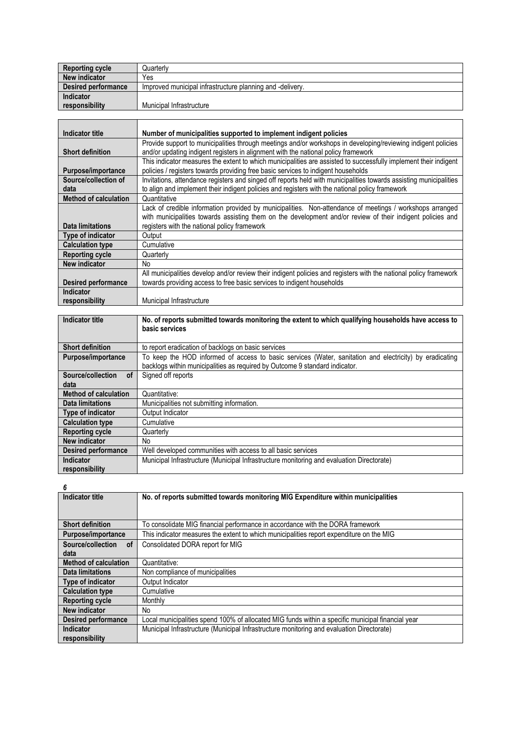| <b>Reporting cycle</b> | Quarterly                                                 |
|------------------------|-----------------------------------------------------------|
| New indicator          | Yes                                                       |
| Desired performance    | Improved municipal infrastructure planning and -delivery. |
| Indicator              |                                                           |
| responsibility         | Municipal Infrastructure                                  |

| Indicator title              | Number of municipalities supported to implement indigent policies                                                  |
|------------------------------|--------------------------------------------------------------------------------------------------------------------|
|                              | Provide support to municipalities through meetings and/or workshops in developing/reviewing indigent policies      |
| <b>Short definition</b>      | and/or updating indigent registers in alignment with the national policy framework                                 |
|                              | This indicator measures the extent to which municipalities are assisted to successfully implement their indigent   |
| Purpose/importance           | policies / registers towards providing free basic services to indigent households                                  |
| Source/collection of         | Invitations, attendance registers and singed off reports held with municipalities towards assisting municipalities |
| data                         | to align and implement their indigent policies and registers with the national policy framework                    |
| <b>Method of calculation</b> | Quantitative                                                                                                       |
|                              | Lack of credible information provided by municipalities. Non-attendance of meetings / workshops arranged           |
|                              | with municipalities towards assisting them on the development and/or review of their indigent policies and         |
| Data limitations             | registers with the national policy framework                                                                       |
| Type of indicator            | Output                                                                                                             |
| <b>Calculation type</b>      | Cumulative                                                                                                         |
| <b>Reporting cycle</b>       | Quarterly                                                                                                          |
| <b>New indicator</b>         | No.                                                                                                                |
|                              | All municipalities develop and/or review their indigent policies and registers with the national policy framework  |
| <b>Desired performance</b>   | towards providing access to free basic services to indigent households                                             |
| <b>Indicator</b>             |                                                                                                                    |
| responsibility               | Municipal Infrastructure                                                                                           |

| <b>Indicator title</b>                 | No. of reports submitted towards monitoring the extent to which qualifying households have access to<br>basic services                                                                 |
|----------------------------------------|----------------------------------------------------------------------------------------------------------------------------------------------------------------------------------------|
| <b>Short definition</b>                | to report eradication of backlogs on basic services                                                                                                                                    |
| Purpose/importance                     | To keep the HOD informed of access to basic services (Water, sanitation and electricity) by eradicating<br>backlogs within municipalities as required by Outcome 9 standard indicator. |
| Source/collection<br><b>of</b><br>data | Signed off reports                                                                                                                                                                     |
| <b>Method of calculation</b>           | Quantitative:                                                                                                                                                                          |
| Data limitations                       | Municipalities not submitting information.                                                                                                                                             |
| Type of indicator                      | Output Indicator                                                                                                                                                                       |
| <b>Calculation type</b>                | Cumulative                                                                                                                                                                             |
| <b>Reporting cycle</b>                 | Quarterly                                                                                                                                                                              |
| New indicator                          | No                                                                                                                                                                                     |
| <b>Desired performance</b>             | Well developed communities with access to all basic services                                                                                                                           |
| <b>Indicator</b><br>responsibility     | Municipal Infrastructure (Municipal Infrastructure monitoring and evaluation Directorate)                                                                                              |

*6*

| U                              |                                                                                                   |
|--------------------------------|---------------------------------------------------------------------------------------------------|
| Indicator title                | No. of reports submitted towards monitoring MIG Expenditure within municipalities                 |
|                                |                                                                                                   |
|                                |                                                                                                   |
|                                |                                                                                                   |
| <b>Short definition</b>        | To consolidate MIG financial performance in accordance with the DORA framework                    |
| Purpose/importance             | This indicator measures the extent to which municipalities report expenditure on the MIG          |
| Source/collection<br><b>of</b> | Consolidated DORA report for MIG                                                                  |
| data                           |                                                                                                   |
| <b>Method of calculation</b>   | Quantitative:                                                                                     |
| Data limitations               | Non compliance of municipalities                                                                  |
| Type of indicator              | Output Indicator                                                                                  |
| <b>Calculation type</b>        | Cumulative                                                                                        |
| <b>Reporting cycle</b>         | Monthly                                                                                           |
| New indicator                  | No.                                                                                               |
| <b>Desired performance</b>     | Local municipalities spend 100% of allocated MIG funds within a specific municipal financial year |
| Indicator                      | Municipal Infrastructure (Municipal Infrastructure monitoring and evaluation Directorate)         |
| responsibility                 |                                                                                                   |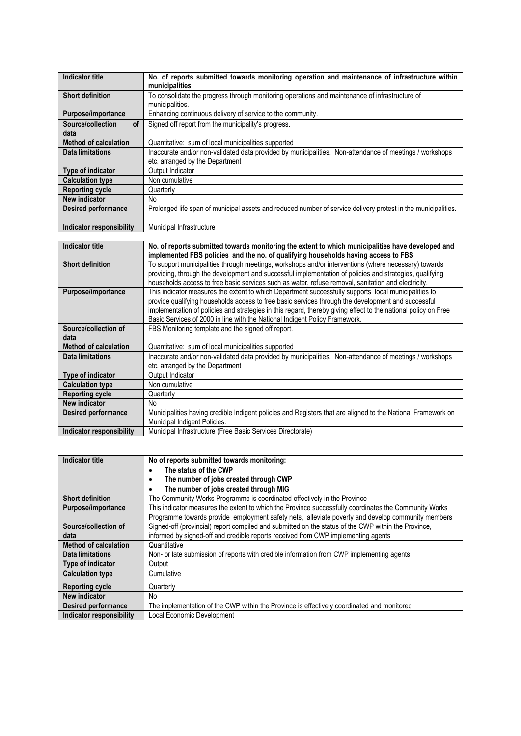| Indicator title                | No. of reports submitted towards monitoring operation and maintenance of infrastructure within                |
|--------------------------------|---------------------------------------------------------------------------------------------------------------|
|                                | municipalities                                                                                                |
| <b>Short definition</b>        | To consolidate the progress through monitoring operations and maintenance of infrastructure of                |
|                                | municipalities.                                                                                               |
| Purpose/importance             | Enhancing continuous delivery of service to the community.                                                    |
| <b>of</b><br>Source/collection | Signed off report from the municipality's progress.                                                           |
| data                           |                                                                                                               |
| <b>Method of calculation</b>   | Quantitative: sum of local municipalities supported                                                           |
| Data limitations               | Inaccurate and/or non-validated data provided by municipalities. Non-attendance of meetings / workshops       |
|                                | etc. arranged by the Department                                                                               |
| Type of indicator              | Output Indicator                                                                                              |
| <b>Calculation type</b>        | Non cumulative                                                                                                |
| <b>Reporting cycle</b>         | Quarterly                                                                                                     |
| New indicator                  | No                                                                                                            |
| <b>Desired performance</b>     | Prolonged life span of municipal assets and reduced number of service delivery protest in the municipalities. |
|                                |                                                                                                               |
| Indicator responsibility       | Municipal Infrastructure                                                                                      |

| Indicator title              | No. of reports submitted towards monitoring the extent to which municipalities have developed and<br>implemented FBS policies and the no. of qualifying households having access to FBS                                                                                                                                                                                                                     |
|------------------------------|-------------------------------------------------------------------------------------------------------------------------------------------------------------------------------------------------------------------------------------------------------------------------------------------------------------------------------------------------------------------------------------------------------------|
| <b>Short definition</b>      | To support municipalities through meetings, workshops and/or interventions (where necessary) towards<br>providing, through the development and successful implementation of policies and strategies, qualifying<br>households access to free basic services such as water, refuse removal, sanitation and electricity.                                                                                      |
| Purpose/importance           | This indicator measures the extent to which Department successfully supports local municipalities to<br>provide qualifying households access to free basic services through the development and successful<br>implementation of policies and strategies in this regard, thereby giving effect to the national policy on Free<br>Basic Services of 2000 in line with the National Indigent Policy Framework. |
| Source/collection of<br>data | FBS Monitoring template and the signed off report.                                                                                                                                                                                                                                                                                                                                                          |
| <b>Method of calculation</b> | Quantitative: sum of local municipalities supported                                                                                                                                                                                                                                                                                                                                                         |
| Data limitations             | Inaccurate and/or non-validated data provided by municipalities. Non-attendance of meetings / workshops<br>etc. arranged by the Department                                                                                                                                                                                                                                                                  |
| Type of indicator            | Output Indicator                                                                                                                                                                                                                                                                                                                                                                                            |
| <b>Calculation type</b>      | Non cumulative                                                                                                                                                                                                                                                                                                                                                                                              |
| <b>Reporting cycle</b>       | Quarterly                                                                                                                                                                                                                                                                                                                                                                                                   |
| New indicator                | No.                                                                                                                                                                                                                                                                                                                                                                                                         |
| <b>Desired performance</b>   | Municipalities having credible Indigent policies and Registers that are aligned to the National Framework on<br>Municipal Indigent Policies.                                                                                                                                                                                                                                                                |
| Indicator responsibility     | Municipal Infrastructure (Free Basic Services Directorate)                                                                                                                                                                                                                                                                                                                                                  |

| Indicator title              | No of reports submitted towards monitoring:                                                           |
|------------------------------|-------------------------------------------------------------------------------------------------------|
|                              | The status of the CWP                                                                                 |
|                              | The number of jobs created through CWP                                                                |
|                              | The number of jobs created through MIG                                                                |
| <b>Short definition</b>      | The Community Works Programme is coordinated effectively in the Province                              |
| Purpose/importance           | This indicator measures the extent to which the Province successfully coordinates the Community Works |
|                              | Programme towards provide employment safety nets, alleviate poverty and develop community members     |
| Source/collection of         | Signed-off (provincial) report compiled and submitted on the status of the CWP within the Province,   |
| data                         | informed by signed-off and credible reports received from CWP implementing agents                     |
| <b>Method of calculation</b> | Quantitative                                                                                          |
| <b>Data limitations</b>      | Non- or late submission of reports with credible information from CWP implementing agents             |
| Type of indicator            | Output                                                                                                |
| <b>Calculation type</b>      | Cumulative                                                                                            |
| <b>Reporting cycle</b>       | Quarterly                                                                                             |
| <b>New indicator</b>         | No.                                                                                                   |
| <b>Desired performance</b>   | The implementation of the CWP within the Province is effectively coordinated and monitored            |
| Indicator responsibility     | Local Economic Development                                                                            |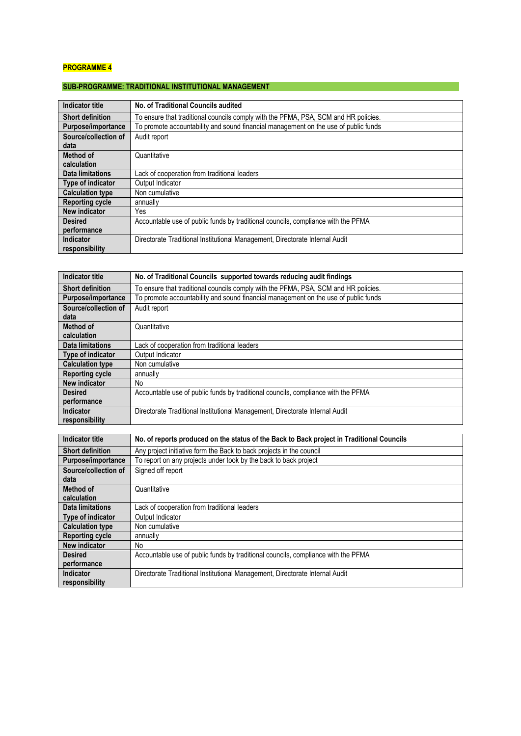# **PROGRAMME 4**

# **SUB-PROGRAMME: TRADITIONAL INSTITUTIONAL MANAGEMENT**

| <b>Indicator title</b>  | No. of Traditional Councils audited                                                 |
|-------------------------|-------------------------------------------------------------------------------------|
| <b>Short definition</b> | To ensure that traditional councils comply with the PFMA, PSA, SCM and HR policies. |
| Purpose/importance      | To promote accountability and sound financial management on the use of public funds |
| Source/collection of    | Audit report                                                                        |
| data                    |                                                                                     |
| Method of               | Quantitative                                                                        |
| calculation             |                                                                                     |
| <b>Data limitations</b> | Lack of cooperation from traditional leaders                                        |
| Type of indicator       | Output Indicator                                                                    |
| <b>Calculation type</b> | Non cumulative                                                                      |
| <b>Reporting cycle</b>  | annually                                                                            |
| New indicator           | Yes                                                                                 |
| <b>Desired</b>          | Accountable use of public funds by traditional councils, compliance with the PFMA   |
| performance             |                                                                                     |
| Indicator               | Directorate Traditional Institutional Management, Directorate Internal Audit        |
| responsibility          |                                                                                     |

| Indicator title         | No. of Traditional Councils supported towards reducing audit findings               |
|-------------------------|-------------------------------------------------------------------------------------|
| <b>Short definition</b> | To ensure that traditional councils comply with the PFMA, PSA, SCM and HR policies. |
| Purpose/importance      | To promote accountability and sound financial management on the use of public funds |
| Source/collection of    | Audit report                                                                        |
| data                    |                                                                                     |
| Method of               | Quantitative                                                                        |
| calculation             |                                                                                     |
| Data limitations        | Lack of cooperation from traditional leaders                                        |
| Type of indicator       | Output Indicator                                                                    |
| <b>Calculation type</b> | Non cumulative                                                                      |
| <b>Reporting cycle</b>  | annually                                                                            |
| New indicator           | No                                                                                  |
| <b>Desired</b>          | Accountable use of public funds by traditional councils, compliance with the PFMA   |
| performance             |                                                                                     |
| Indicator               | Directorate Traditional Institutional Management, Directorate Internal Audit        |
| responsibility          |                                                                                     |

| Indicator title         | No. of reports produced on the status of the Back to Back project in Traditional Councils |
|-------------------------|-------------------------------------------------------------------------------------------|
| <b>Short definition</b> | Any project initiative form the Back to back projects in the council                      |
| Purpose/importance      | To report on any projects under took by the back to back project                          |
| Source/collection of    | Signed off report                                                                         |
| data                    |                                                                                           |
| Method of               | Quantitative                                                                              |
| calculation             |                                                                                           |
| Data limitations        | Lack of cooperation from traditional leaders                                              |
| Type of indicator       | Output Indicator                                                                          |
| <b>Calculation type</b> | Non cumulative                                                                            |
| <b>Reporting cycle</b>  | annually                                                                                  |
| <b>New indicator</b>    | No.                                                                                       |
| <b>Desired</b>          | Accountable use of public funds by traditional councils, compliance with the PFMA         |
| performance             |                                                                                           |
| Indicator               | Directorate Traditional Institutional Management, Directorate Internal Audit              |
| responsibility          |                                                                                           |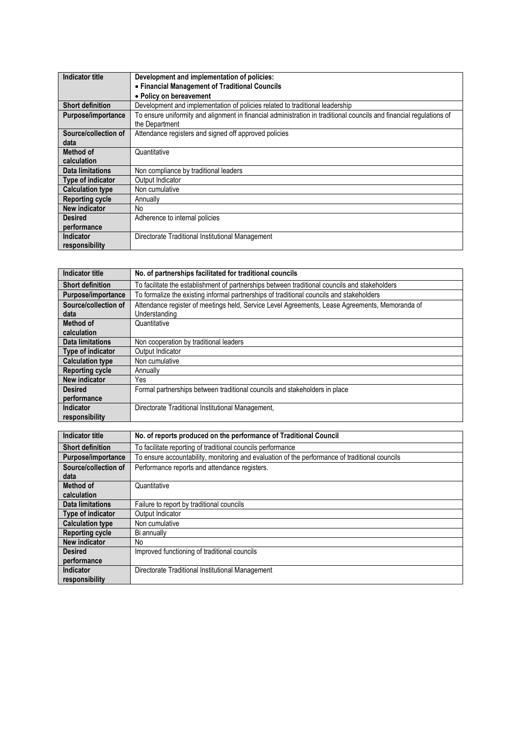| <b>Indicator title</b>  | Development and implementation of policies:                                                                                           |
|-------------------------|---------------------------------------------------------------------------------------------------------------------------------------|
|                         | • Financial Management of Traditional Councils                                                                                        |
|                         | • Policy on bereavement                                                                                                               |
| <b>Short definition</b> | Development and implementation of policies related to traditional leadership                                                          |
| Purpose/importance      | To ensure uniformity and alignment in financial administration in traditional councils and financial regulations of<br>the Department |
| Source/collection of    | Attendance registers and signed off approved policies                                                                                 |
| data                    |                                                                                                                                       |
| Method of               | Quantitative                                                                                                                          |
| calculation             |                                                                                                                                       |
| Data limitations        | Non compliance by traditional leaders                                                                                                 |
| Type of indicator       | Output Indicator                                                                                                                      |
| <b>Calculation type</b> | Non cumulative                                                                                                                        |
| <b>Reporting cycle</b>  | Annually                                                                                                                              |
| New indicator           | No.                                                                                                                                   |
| <b>Desired</b>          | Adherence to internal policies                                                                                                        |
| performance             |                                                                                                                                       |
| <b>Indicator</b>        | Directorate Traditional Institutional Management                                                                                      |
| responsibility          |                                                                                                                                       |

| Indicator title         | No. of partnerships facilitated for traditional councils                                       |
|-------------------------|------------------------------------------------------------------------------------------------|
| <b>Short definition</b> | To facilitate the establishment of partnerships between traditional councils and stakeholders  |
| Purpose/importance      | To formalize the existing informal partnerships of traditional councils and stakeholders       |
| Source/collection of    | Attendance register of meetings held, Service Level Agreements, Lease Agreements, Memoranda of |
| data                    | Understanding                                                                                  |
| Method of               | Quantitative                                                                                   |
| calculation             |                                                                                                |
| <b>Data limitations</b> | Non cooperation by traditional leaders                                                         |
| Type of indicator       | Output Indicator                                                                               |
| <b>Calculation type</b> | Non cumulative                                                                                 |
| <b>Reporting cycle</b>  | Annually                                                                                       |
| New indicator           | Yes                                                                                            |
| <b>Desired</b>          | Formal partnerships between traditional councils and stakeholders in place                     |
| performance             |                                                                                                |
| Indicator               | Directorate Traditional Institutional Management,                                              |
| responsibility          |                                                                                                |

| <b>Indicator title</b>  | No. of reports produced on the performance of Traditional Council                              |
|-------------------------|------------------------------------------------------------------------------------------------|
| <b>Short definition</b> | To facilitate reporting of traditional councils performance                                    |
| Purpose/importance      | To ensure accountability, monitoring and evaluation of the performance of traditional councils |
| Source/collection of    | Performance reports and attendance registers.                                                  |
| data                    |                                                                                                |
| Method of               | Quantitative                                                                                   |
| calculation             |                                                                                                |
| Data limitations        | Failure to report by traditional councils                                                      |
| Type of indicator       | Output Indicator                                                                               |
| <b>Calculation type</b> | Non cumulative                                                                                 |
| <b>Reporting cycle</b>  | Bi annually                                                                                    |
| New indicator           | No                                                                                             |
| <b>Desired</b>          | Improved functioning of traditional councils                                                   |
| performance             |                                                                                                |
| Indicator               | Directorate Traditional Institutional Management                                               |
| responsibility          |                                                                                                |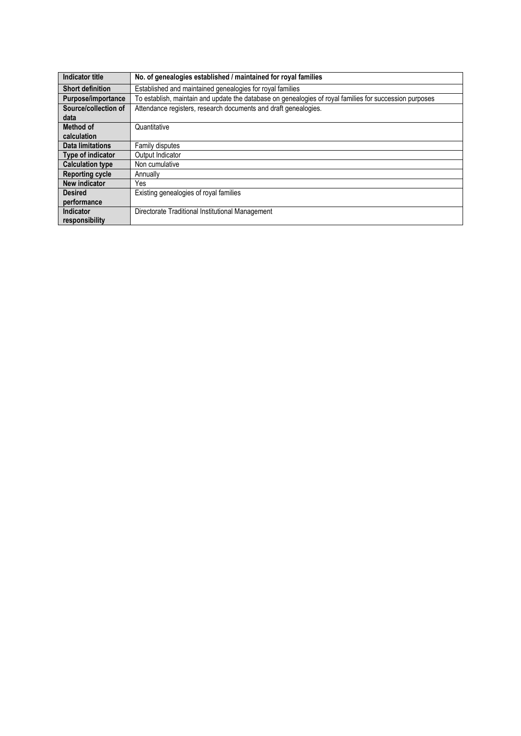| Indicator title         | No. of genealogies established / maintained for royal families                                          |
|-------------------------|---------------------------------------------------------------------------------------------------------|
| <b>Short definition</b> | Established and maintained genealogies for royal families                                               |
| Purpose/importance      | To establish, maintain and update the database on genealogies of royal families for succession purposes |
| Source/collection of    | Attendance registers, research documents and draft genealogies.                                         |
| data                    |                                                                                                         |
| Method of               | Quantitative                                                                                            |
| calculation             |                                                                                                         |
| Data limitations        | Family disputes                                                                                         |
| Type of indicator       | Output Indicator                                                                                        |
| <b>Calculation type</b> | Non cumulative                                                                                          |
| <b>Reporting cycle</b>  | Annually                                                                                                |
| New indicator           | Yes                                                                                                     |
| <b>Desired</b>          | Existing genealogies of royal families                                                                  |
| performance             |                                                                                                         |
| Indicator               | Directorate Traditional Institutional Management                                                        |
| responsibility          |                                                                                                         |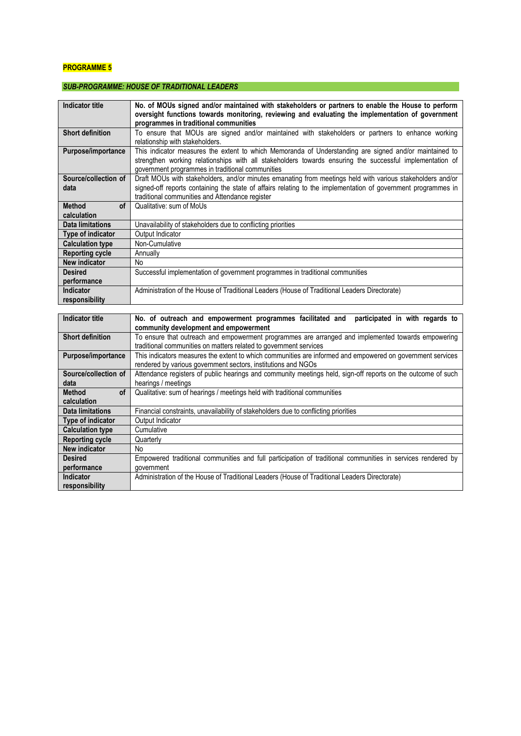# **PROGRAMME 5**

# *SUB-PROGRAMME: HOUSE OF TRADITIONAL LEADERS*

| <b>Indicator title</b>  | No. of MOUs signed and/or maintained with stakeholders or partners to enable the House to perform             |
|-------------------------|---------------------------------------------------------------------------------------------------------------|
|                         | oversight functions towards monitoring, reviewing and evaluating the implementation of government             |
|                         | programmes in traditional communities                                                                         |
| <b>Short definition</b> |                                                                                                               |
|                         | To ensure that MOUs are signed and/or maintained with stakeholders or partners to enhance working             |
|                         | relationship with stakeholders.                                                                               |
| Purpose/importance      | This indicator measures the extent to which Memoranda of Understanding are signed and/or maintained to        |
|                         | strengthen working relationships with all stakeholders towards ensuring the successful implementation of      |
|                         | government programmes in traditional communities                                                              |
| Source/collection of    | Draft MOUs with stakeholders, and/or minutes emanating from meetings held with various stakeholders and/or    |
| data                    | signed-off reports containing the state of affairs relating to the implementation of government programmes in |
|                         | traditional communities and Attendance register                                                               |
| <b>Method</b><br>0f     | Qualitative: sum of MoUs                                                                                      |
| calculation             |                                                                                                               |
| Data limitations        | Unavailability of stakeholders due to conflicting priorities                                                  |
| Type of indicator       | Output Indicator                                                                                              |
| <b>Calculation type</b> | Non-Cumulative                                                                                                |
| <b>Reporting cycle</b>  | Annually                                                                                                      |
| New indicator           | No.                                                                                                           |
| <b>Desired</b>          | Successful implementation of government programmes in traditional communities                                 |
| performance             |                                                                                                               |
| Indicator               | Administration of the House of Traditional Leaders (House of Traditional Leaders Directorate)                 |
| responsibility          |                                                                                                               |

| <b>Indicator title</b>     | No. of outreach and empowerment programmes facilitated and participated in with regards to                   |
|----------------------------|--------------------------------------------------------------------------------------------------------------|
|                            | community development and empowerment                                                                        |
| <b>Short definition</b>    | To ensure that outreach and empowerment programmes are arranged and implemented towards empowering           |
|                            | traditional communities on matters related to government services                                            |
| Purpose/importance         | This indicators measures the extent to which communities are informed and empowered on government services   |
|                            | rendered by various government sectors, institutions and NGOs                                                |
| Source/collection of       | Attendance registers of public hearings and community meetings held, sign-off reports on the outcome of such |
| data                       | hearings / meetings                                                                                          |
| <b>of</b><br><b>Method</b> | Qualitative: sum of hearings / meetings held with traditional communities                                    |
| calculation                |                                                                                                              |
| <b>Data limitations</b>    | Financial constraints, unavailability of stakeholders due to conflicting priorities                          |
| Type of indicator          | Output Indicator                                                                                             |
| <b>Calculation type</b>    | Cumulative                                                                                                   |
| <b>Reporting cycle</b>     | Quarterly                                                                                                    |
| New indicator              | No.                                                                                                          |
| <b>Desired</b>             | Empowered traditional communities and full participation of traditional communities in services rendered by  |
| performance                | government                                                                                                   |
| <b>Indicator</b>           | Administration of the House of Traditional Leaders (House of Traditional Leaders Directorate)                |
| responsibility             |                                                                                                              |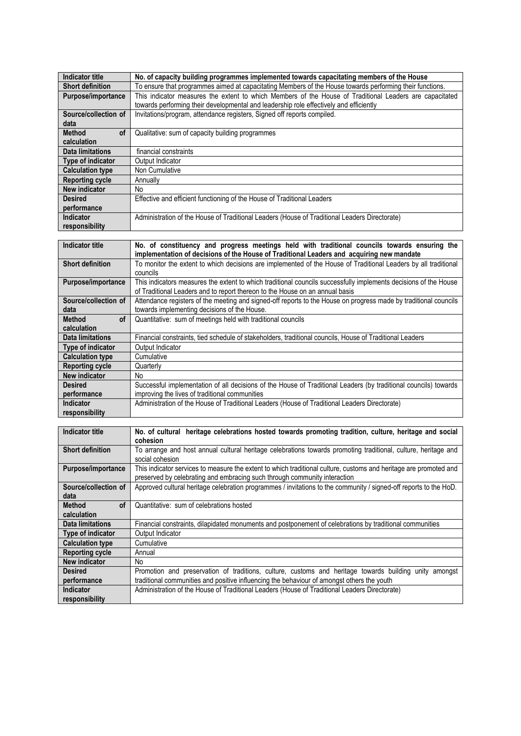| Indicator title            | No. of capacity building programmes implemented towards capacitating members of the House                |
|----------------------------|----------------------------------------------------------------------------------------------------------|
| <b>Short definition</b>    | To ensure that programmes aimed at capacitating Members of the House towards performing their functions. |
| Purpose/importance         | This indicator measures the extent to which Members of the House of Traditional Leaders are capacitated  |
|                            | towards performing their developmental and leadership role effectively and efficiently                   |
| Source/collection of       | Invitations/program, attendance registers, Signed off reports compiled.                                  |
| data                       |                                                                                                          |
| <b>of</b><br><b>Method</b> | Qualitative: sum of capacity building programmes                                                         |
| calculation                |                                                                                                          |
| Data limitations           | financial constraints                                                                                    |
| Type of indicator          | Output Indicator                                                                                         |
| <b>Calculation type</b>    | Non Cumulative                                                                                           |
| <b>Reporting cycle</b>     | Annually                                                                                                 |
| New indicator              | No.                                                                                                      |
| <b>Desired</b>             | Effective and efficient functioning of the House of Traditional Leaders                                  |
| performance                |                                                                                                          |
| Indicator                  | Administration of the House of Traditional Leaders (House of Traditional Leaders Directorate)            |
| responsibility             |                                                                                                          |

| Indicator title            | No. of constituency and progress meetings held with traditional councils towards ensuring the                    |
|----------------------------|------------------------------------------------------------------------------------------------------------------|
|                            | implementation of decisions of the House of Traditional Leaders and acquiring new mandate                        |
| <b>Short definition</b>    | To monitor the extent to which decisions are implemented of the House of Traditional Leaders by all traditional  |
|                            | councils                                                                                                         |
| Purpose/importance         | This indicators measures the extent to which traditional councils successfully implements decisions of the House |
|                            | of Traditional Leaders and to report thereon to the House on an annual basis                                     |
| Source/collection of       | Attendance registers of the meeting and signed-off reports to the House on progress made by traditional councils |
|                            |                                                                                                                  |
| data                       | towards implementing decisions of the House.                                                                     |
| <b>of</b><br><b>Method</b> | Quantitative: sum of meetings held with traditional councils                                                     |
| calculation                |                                                                                                                  |
| <b>Data limitations</b>    | Financial constraints, tied schedule of stakeholders, traditional councils, House of Traditional Leaders         |
| Type of indicator          | Output Indicator                                                                                                 |
| <b>Calculation type</b>    | Cumulative                                                                                                       |
| <b>Reporting cycle</b>     | Quarterly                                                                                                        |
| New indicator              | N <sub>o</sub>                                                                                                   |
| <b>Desired</b>             | Successful implementation of all decisions of the House of Traditional Leaders (by traditional councils) towards |
| performance                | improving the lives of traditional communities                                                                   |
| <b>Indicator</b>           | Administration of the House of Traditional Leaders (House of Traditional Leaders Directorate)                    |
| responsibility             |                                                                                                                  |

| <b>Indicator title</b>                    | No. of cultural heritage celebrations hosted towards promoting tradition, culture, heritage and social<br>cohesion                                                                                   |
|-------------------------------------------|------------------------------------------------------------------------------------------------------------------------------------------------------------------------------------------------------|
| <b>Short definition</b>                   | To arrange and host annual cultural heritage celebrations towards promoting traditional, culture, heritage and<br>social cohesion                                                                    |
| Purpose/importance                        | This indicator services to measure the extent to which traditional culture, customs and heritage are promoted and<br>preserved by celebrating and embracing such through community interaction       |
| Source/collection of<br>data              | Approved cultural heritage celebration programmes / invitations to the community / signed-off reports to the HoD.                                                                                    |
| <b>of</b><br><b>Method</b><br>calculation | Quantitative: sum of celebrations hosted                                                                                                                                                             |
| <b>Data limitations</b>                   | Financial constraints, dilapidated monuments and postponement of celebrations by traditional communities                                                                                             |
| Type of indicator                         | Output Indicator                                                                                                                                                                                     |
| <b>Calculation type</b>                   | Cumulative                                                                                                                                                                                           |
| <b>Reporting cycle</b>                    | Annual                                                                                                                                                                                               |
| New indicator                             | No.                                                                                                                                                                                                  |
| <b>Desired</b><br>performance             | Promotion and preservation of traditions, culture, customs and heritage towards building unity amongst<br>traditional communities and positive influencing the behaviour of amongst others the youth |
| <b>Indicator</b><br>responsibility        | Administration of the House of Traditional Leaders (House of Traditional Leaders Directorate)                                                                                                        |